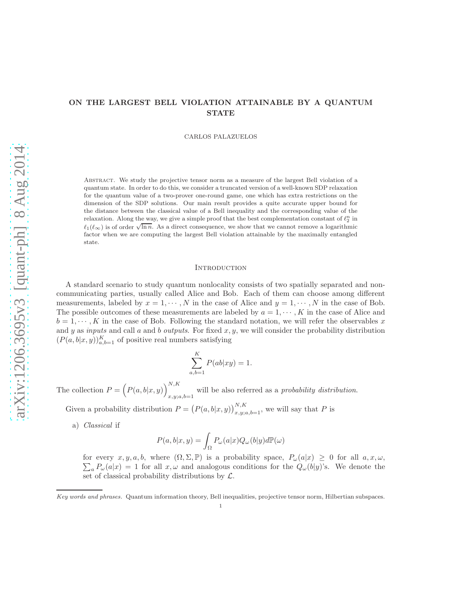# ON THE LARGEST BELL VIOLATION ATTAINABLE BY A QUANTUM **STATE**

CARLOS PALAZUELOS

Abstract. We study the projective tensor norm as a measure of the largest Bell violation of a quantum state. In order to do this, we consider a truncated version of a well-known SDP relaxation for the quantum value of a two-prover one-round game, one which has extra restrictions on the dimension of the SDP solutions. Our main result provides a quite accurate upper bound for the distance between the classical value of a Bell inequality and the corresponding value of the relaxation. Along the way, we give a simple proof that the best complementation constant of  $\ell_2^n$  in  $\ell_1(\ell_\infty)$  is of order  $\sqrt{\ln n}$ . As a direct consequence, we show that we cannot remove a logarithmic factor when we are computing the largest Bell violation attainable by the maximally entangled state.

#### **INTRODUCTION**

A standard scenario to study quantum nonlocality consists of two spatially separated and noncommunicating parties, usually called Alice and Bob. Each of them can choose among different measurements, labeled by  $x = 1, \dots, N$  in the case of Alice and  $y = 1, \dots, N$  in the case of Bob. The possible outcomes of these measurements are labeled by  $a = 1, \dots, K$  in the case of Alice and  $b = 1, \dots, K$  in the case of Bob. Following the standard notation, we will refer the observables x and y as *inputs* and call a and b *outputs*. For fixed  $x, y$ , we will consider the probability distribution  $(P(a, b|x, y))_{a,b=1}^K$  of positive real numbers satisfying

$$
\sum_{a,b=1}^{K} P(ab|xy) = 1.
$$

The collection  $P = (P(a, b|x, y))_{x,y;x}^{N,K}$  $x, y; a, b=1$  will be also referred as a *probability distribution*.

Given a probability distribution  $P = (P(a, b|x, y))_{x,y;a,b=1}^{N,K}$ , we will say that P is

a) *Classical* if

$$
P(a,b|x,y)=\int_{\Omega}P_{\omega}(a|x)Q_{\omega}(b|y)d\mathbb{P}(\omega)
$$

for every  $x, y, a, b$ , where  $(\Omega, \Sigma, \mathbb{P})$  is a probability space,  $P_{\omega}(a|x) \geq 0$  for all  $a, x, \omega$ ,  $\sum_{a} P_{\omega}(a|x) = 1$  for all  $x, \omega$  and analogous conditions for the  $Q_{\omega}(b|y)$ 's. We denote the set of classical probability distributions by  $\mathcal{L}$ .

*Key words and phrases.* Quantum information theory, Bell inequalities, projective tensor norm, Hilbertian subspaces.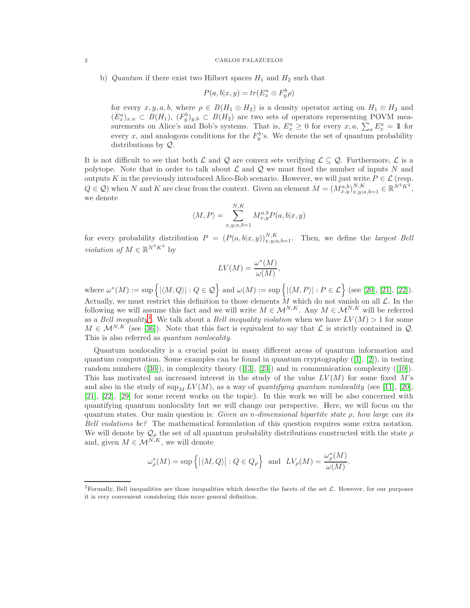b) *Quantum* if there exist two Hilbert spaces  $H_1$  and  $H_2$  such that

$$
P(a,b|x,y) = tr(E_x^a \otimes F_y^b \rho)
$$

for every  $x, y, a, b$ , where  $\rho \in B(H_1 \otimes H_2)$  is a density operator acting on  $H_1 \otimes H_2$  and  $(E_x^a)_{x,a} \subset B(H_1),$   $(F_y^b)_{y,b} \subset B(H_2)$  are two sets of operators representing POVM measurements on Alice's and Bob's systems. That is,  $E_x^a \geq 0$  for every  $x, a, \sum_a E_x^a = \mathbb{1}$  for every x, and analogous conditions for the  $F_y^b$ 's. We denote the set of quantum probability distributions by Q.

It is not difficult to see that both  $\mathcal L$  and  $\mathcal Q$  are convex sets verifying  $\mathcal L \subseteq \mathcal Q$ . Furthermore,  $\mathcal L$  is a polytope. Note that in order to talk about  $\mathcal L$  and  $\mathcal Q$  we must fixed the number of inputs N and outputs K in the previously introduced Alice-Bob scenario. However, we will just write  $P \in \mathcal{L}$  (resp.  $Q \in \mathcal{Q}$ ) when N and K are clear from the context. Given an element  $M = (M_{x,y}^{a,b})_{x,y;a,b=1}^{N,K} \in \mathbb{R}^{N^2 K^2}$ , we denote

$$
\langle M, P \rangle = \sum_{x,y;a,b=1}^{N,K} M_{x,y}^{a,b} P(a,b|x,y)
$$

for every probability distribution  $P = (P(a, b|x, y))_{x, y; a, b=1}^{N,K}$ . Then, we define the *largest Bell violation of*  $M \in \mathbb{R}^{N^2 K^2}$  by

$$
LV(M) = \frac{\omega^*(M)}{\omega(M)},
$$

where  $\omega^*(M) := \sup \Big\{ |\langle M, Q \rangle| : Q \in \mathcal{Q} \Big\}$  and  $\omega(M) := \sup \Big\{ |\langle M, P \rangle| : P \in \mathcal{L} \Big\}$  (see [\[20\]](#page-20-0), [\[21\]](#page-20-1), [\[22\]](#page-20-2)). Actually, we must restrict this definition to those elements M which do not vanish on all  $\mathcal{L}$ . In the following we will assume this fact and we will write  $M \in \mathcal{M}^{N,K}$ . Any  $M \in \mathcal{M}^{N,K}$  will be referred as a *Bell inequality*<sup>[1](#page-1-0)</sup>. We talk about a *Bell inequality violation* when we have  $LV(M) > 1$  for some  $M \in \mathcal{M}^{N,K}$  (see [\[36\]](#page-20-3)). Note that this fact is equivalent to say that  $\mathcal{L}$  is strictly contained in  $\mathcal{Q}$ . This is also referred as *quantum nonlocality*.

Quantum nonlocality is a crucial point in many different areas of quantum information and quantum computation. Some examples can be found in quantum cryptography  $([1], [2])$  $([1], [2])$  $([1], [2])$  $([1], [2])$  $([1], [2])$ , in testing random numbers ([\[30\]](#page-20-4)), in complexity theory ([\[13\]](#page-20-5), [\[23\]](#page-20-6)) and in communication complexity ([\[10\]](#page-19-2)). This has motivated an increased interest in the study of the value  $LV(M)$  for some fixed M's and also in the study of  $\sup_M LV(M)$ , as a way of *quantifying quantum nonlocality* (see [\[11\]](#page-19-3), [\[20\]](#page-20-0), [\[21\]](#page-20-1), [\[22\]](#page-20-2), [\[29\]](#page-20-7) for some recent works on the topic). In this work we will be also concerned with quantifying quantum nonlocality but we will change our perspective. Here, we will focus on the quantum states. Our main question is: *Given an* n*-dimensional bipartite state* ρ*, how large can its Bell violations be?* The mathematical formulation of this question requires some extra notation. We will denote by  $\mathcal{Q}_{\rho}$  the set of all quantum probability distributions constructed with the state  $\rho$ and, given  $M \in \mathcal{M}^{N,K}$ , we will denote

$$
\omega_{\rho}^*(M) = \sup \left\{ \left| \langle M, Q \rangle \right| : Q \in Q_{\rho} \right\} \text{ and } LV_{\rho}(M) = \frac{\omega_{\rho}^*(M)}{\omega(M)}.
$$

<span id="page-1-0"></span><sup>&</sup>lt;sup>1</sup>Formally, Bell inequalities are those inequalities which describe the facets of the set  $\mathcal{L}$ . However, for our purposes it is very convenient considering this more general definition.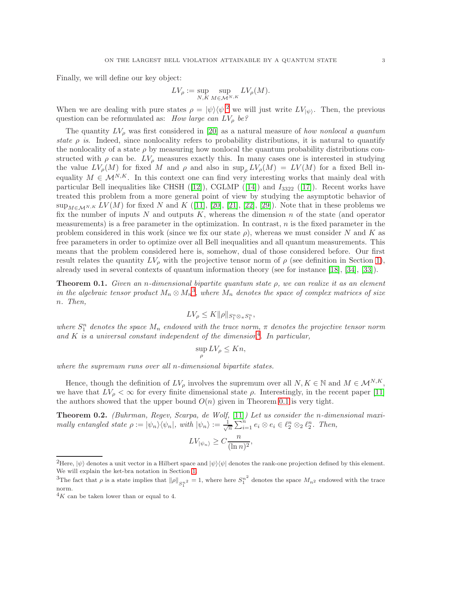Finally, we will define our key object:

$$
LV_{\rho} := \sup_{N,K} \sup_{M \in \mathcal{M}^{N,K}} LV_{\rho}(M).
$$

When we are dealing with pure states  $\rho = |\psi\rangle \langle \psi|^2$  $\rho = |\psi\rangle \langle \psi|^2$  we will just write  $LV_{|\psi\rangle}$ . Then, the previous question can be reformulated as: *How large can LV<sub>p</sub> be?* 

The quantity  $LV_\rho$  was first considered in [\[20\]](#page-20-0) as a natural measure of *how nonlocal a quantum state*  $\rho$  *is*. Indeed, since nonlocality refers to probability distributions, it is natural to quantify the nonlocality of a state  $\rho$  by measuring how nonlocal the quantum probability distributions constructed with  $\rho$  can be.  $LV_\rho$  measures exactly this. In many cases one is interested in studying the value  $LV_\rho(M)$  for fixed M and  $\rho$  and also in  $\sup_{\rho} LV_\rho(M) = LV(M)$  for a fixed Bell inequality  $M \in \mathcal{M}^{N,K}$ . In this context one can find very interesting works that mainly deal with particular Bell inequalities like CHSH  $([12])$  $([12])$  $([12])$ , CGLMP  $([14])$  $([14])$  $([14])$  and  $I_{3322}$   $([17])$  $([17])$  $([17])$ . Recent works have treated this problem from a more general point of view by studying the asymptotic behavior of  $\sup_{M\in\mathcal{M}^{N,K}} LV(M)$  for fixed N and K ([\[11\]](#page-19-3), [\[20\]](#page-20-0), [\[21\]](#page-20-1), [\[22\]](#page-20-2), [\[29\]](#page-20-7)). Note that in these problems we fix the number of inputs  $N$  and outputs  $K$ , whereas the dimension  $n$  of the state (and operator measurements) is a free parameter in the optimization. In contrast,  $n$  is the fixed parameter in the problem considered in this work (since we fix our state  $\rho$ ), whereas we must consider N and K as free parameters in order to optimize over all Bell inequalities and all quantum measurements. This means that the problem considered here is, somehow, dual of those considered before. Our first result relates the quantity  $LV_\rho$  with the projective tensor norm of  $\rho$  (see definition in Section [1\)](#page-5-0), already used in several contexts of quantum information theory (see for instance [\[18\]](#page-20-10), [\[34\]](#page-20-11), [\[33\]](#page-20-12)).

<span id="page-2-3"></span>Theorem 0.1. *Given an* n*-dimensional bipartite quantum state* ρ*, we can realize it as an element in the algebraic tensor product*  $M_n \otimes M_n^3$  $M_n \otimes M_n^3$ , where  $M_n$  *denotes the space of complex matrices of size* n*. Then,*

$$
LV_{\rho} \leq K \|\rho\|_{S_1^n \otimes_{\pi} S_1^n},
$$

where  $S_1^n$  denotes the space  $M_n$  endowed with the trace norm,  $\pi$  denotes the projective tensor norm *and* K *is a universal constant independent of the dimension*[4](#page-2-2) *. In particular,*

$$
\sup_{\rho} LV_{\rho} \le Kn,
$$

*where the supremum runs over all* n*-dimensional bipartite states.*

Hence, though the definition of  $LV_\rho$  involves the supremum over all  $N, K \in \mathbb{N}$  and  $M \in \mathcal{M}^{N,K}$ , we have that  $LV_\rho < \infty$  for every finite dimensional state  $\rho$ . Interestingly, in the recent paper [\[11\]](#page-19-3) the authors showed that the upper bound  $O(n)$  given in Theorem [0.1](#page-2-3) is very tight.

<span id="page-2-4"></span>Theorem 0.2. *(Buhrman, Regev, Scarpa, de Wolf,* [\[11\]](#page-19-3)*) Let us consider the* n*-dimensional maximally entangled state*  $\rho := |\psi_n\rangle \langle \psi_n|$ , with  $|\psi_n\rangle := \frac{1}{\sqrt{n}} \sum_{i=1}^n e_i \otimes e_i \in \ell_2^n \otimes_2 \ell_2^n$ . Then,

$$
LV_{|\psi_n\rangle} \ge C \frac{n}{(\ln n)^2},
$$

<span id="page-2-0"></span><sup>&</sup>lt;sup>2</sup>Here,  $|\psi\rangle$  denotes a unit vector in a Hilbert space and  $|\psi\rangle\langle\psi|$  denotes the rank-one projection defined by this element. We will explain the ket-bra notation in Section [1.](#page-5-0)

<span id="page-2-1"></span><sup>&</sup>lt;sup>3</sup>The fact that  $\rho$  is a state implies that  $\|\rho\|_{S_1^{n^2}} = 1$ , where here  $S_1^{n^2}$  denotes the space  $M_{n^2}$  endowed with the trace norm.

<span id="page-2-2"></span> $4K$  can be taken lower than or equal to 4.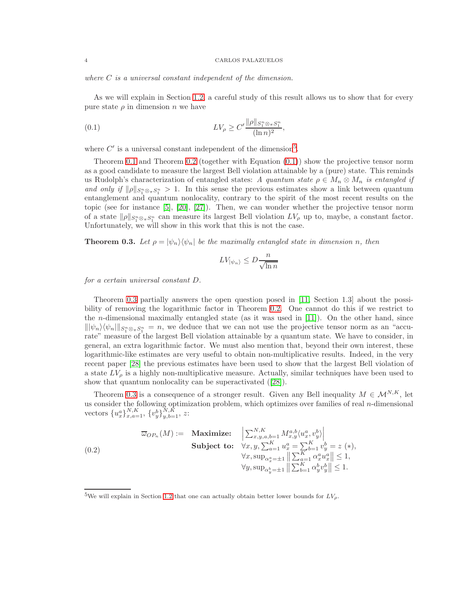*where* C *is a universal constant independent of the dimension.*

As we will explain in Section [1.2,](#page-7-0) a careful study of this result allows us to show that for every pure state  $\rho$  in dimension n we have

<span id="page-3-1"></span>(0.1) 
$$
LV_{\rho} \ge C' \frac{\|\rho\|_{S_1^n \otimes_{\pi} S_1^n}}{(\ln n)^2},
$$

where  $C'$  is a universal constant independent of the dimension<sup>[5](#page-3-0)</sup>.

Theorem [0.1](#page-2-3) and Theorem [0.2](#page-2-4) (together with Equation  $(0.1)$ ) show the projective tensor norm as a good candidate to measure the largest Bell violation attainable by a (pure) state. This reminds us Rudolph's characterization of entangled states: *A quantum state*  $\rho \in M_n \otimes M_n$  *is entangled if and only if*  $\|\rho\|_{S_1^n \otimes_\pi S_1^n} > 1$ . In this sense the previous estimates show a link between quantum entanglement and quantum nonlocality, contrary to the spirit of the most recent results on the topic (see for instance [\[5\]](#page-19-5), [\[20\]](#page-20-0), [\[27\]](#page-20-13)). Then, we can wonder whether the projective tensor norm of a state  $\|\rho\|_{S_1^n\otimes_\pi S_1^n}$  can measure its largest Bell violation  $LV_\rho$  up to, maybe, a constant factor. Unfortunately, we will show in this work that this is not the case.

<span id="page-3-2"></span>**Theorem 0.3.** Let  $\rho = |\psi_n\rangle \langle \psi_n|$  be the maximally entangled state in dimension n, then

$$
LV_{|\psi_n\rangle}\leq D\frac{n}{\sqrt{\ln n}}
$$

*for a certain universal constant* D*.*

Theorem [0.3](#page-3-2) partially answers the open question posed in [\[11,](#page-19-3) Section 1.3] about the possibility of removing the logarithmic factor in Theorem [0.2.](#page-2-4) One cannot do this if we restrict to the n-dimensional maximally entangled state (as it was used in [\[11\]](#page-19-3)). On the other hand, since  $\|\psi_n\rangle\langle\psi_n\|_{S_1^n\otimes_{\pi}S_1^n}=n$ , we deduce that we can not use the projective tensor norm as an "accurate" measure of the largest Bell violation attainable by a quantum state. We have to consider, in general, an extra logarithmic factor. We must also mention that, beyond their own interest, these logarithmic-like estimates are very useful to obtain non-multiplicative results. Indeed, in the very recent paper [\[28\]](#page-20-14) the previous estimates have been used to show that the largest Bell violation of a state  $LV_\rho$  is a highly non-multiplicative measure. Actually, similar techniques have been used to show that quantum nonlocality can be superactivated ([\[28\]](#page-20-14)).

Theorem [0.3](#page-3-2) is a consequence of a stronger result. Given any Bell inequality  $M \in \mathcal{M}^{N,K}$ , let us consider the following optimization problem, which optimizes over families of real  $n$ -dimensional vectors  $\{u_x^a\}_{x,a=1}^{N,K}, \{v_y^b\}_{y,b=1}^{N,K}, z$ :

<span id="page-3-3"></span>(0.2) 
$$
\overline{\omega}_{OP_n}(M) := \underset{\forall x, y, a, b=1 \text{ prime}}{\text{Maximize:}} \left| \sum_{x, y, a, b=1}^{N, K} M_{x, y}^{a, b} \langle u_x^a, v_y^b \rangle \right|
$$
  
\n
$$
\text{Subject to: } \forall x, y, \sum_{a=1}^K u_x^a = \sum_{b=1}^K v_y^b = z (*)
$$
  
\n
$$
\forall x, \text{sup}_{\alpha_x^a = \pm 1} \left\| \sum_{a=1}^K \alpha_x^a u_x^a \right\| \le 1,
$$
  
\n
$$
\forall y, \text{sup}_{\alpha_y^b = \pm 1} \left\| \sum_{b=1}^K \alpha_y^b v_y^b \right\| \le 1.
$$

<span id="page-3-0"></span><sup>&</sup>lt;sup>5</sup>We will explain in Section [1.2](#page-7-0) that one can actually obtain better lower bounds for  $LV<sub>o</sub>$ .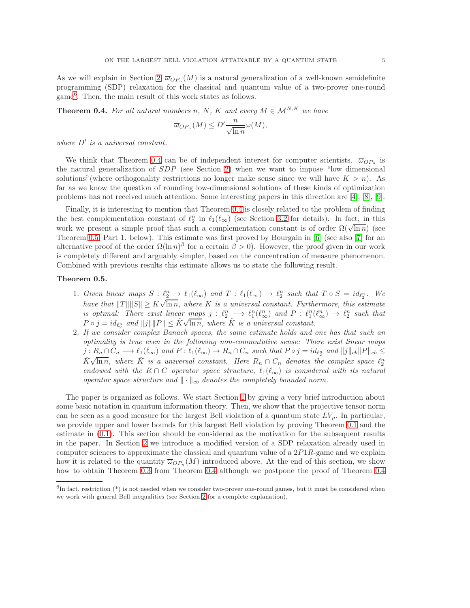As we will explain in Section [2,](#page-10-0)  $\overline{\omega}_{OP_n}(M)$  is a natural generalization of a well-known semidefinite programming (SDP) relaxation for the classical and quantum value of a two-prover one-round game[6](#page-4-0) . Then, the main result of this work states as follows.

<span id="page-4-1"></span>**Theorem 0.4.** For all natural numbers n, N, K and every  $M \in \mathcal{M}^{N,K}$  we have

$$
\overline{\omega}_{OP_n}(M) \le D' \frac{n}{\sqrt{\ln n}} \omega(M),
$$

*where* D′ *is a universal constant.*

We think that Theorem [0.4](#page-4-1) can be of independent interest for computer scientists.  $\overline{\omega}_{OP_n}$  is the natural generalization of SDP (see Section [2\)](#page-10-0) when we want to impose "low dimensional solutions" (where orthogonality restrictions no longer make sense since we will have  $K > n$ ). As far as we know the question of rounding low-dimensional solutions of these kinds of optimization problems has not received much attention. Some interesting papers in this direction are [\[4\]](#page-19-6), [\[8\]](#page-19-7), [\[9\]](#page-19-8).

Finally, it is interesting to mention that Theorem [0.4](#page-4-1) is closely related to the problem of finding the best complementation constant of  $\ell_2^n$  in  $\ell_1(\ell_\infty)$  (see Section [3.2](#page-17-0) for details). In fact, in this work we present a simple proof that such a complementation constant is of order  $\Omega(\sqrt{\ln n})$  (see Theorem [0.5,](#page-4-2) Part 1. below). This estimate was first proved by Bourgain in [\[6\]](#page-19-9) (see also [\[7\]](#page-19-10) for an alternative proof of the order  $\Omega(\ln n)^{\beta}$  for a certain  $\beta > 0$ ). However, the proof given in our work is completely different and arguably simpler, based on the concentration of measure phenomenon. Combined with previous results this estimate allows us to state the following result.

### <span id="page-4-2"></span>Theorem 0.5.

- 1. *Given linear maps*  $S: \ell_{2}^{n} \to \ell_{1}(\ell_{\infty})$  and  $T: \ell_{1}(\ell_{\infty}) \to \ell_{2}^{n}$  such that  $T \circ S = id_{\ell_{2}^{n}}$ . We *have that*  $||T|| ||S|| \geq K \sqrt{\ln n}$ , where K *is a universal constant. Furthermore, this estimate is optimal: There exist linear maps*  $j : \ell_2^n \longrightarrow \ell_1^n(\ell_\infty^n)$  and  $P : \ell_1^n(\ell_\infty^n) \longrightarrow \ell_2^n$  such that  $P \circ j = id_{\ell_2^n}$  and  $||j|| ||P|| \leq K \sqrt{\ln n}$ , where K is a universal constant.
- 2. *If we consider complex Banach spaces, the same estimate holds and one has that such an optimality is true even in the following non-commutative sense: There exist linear maps*  $j: R_n \cap C_n \longrightarrow \ell_1(\ell_{\infty})$  and  $P: \ell_1(\ell_{\infty}) \to R_n \cap C_n$  such that  $P \circ j = id_{\ell_2^n}$  and  $||j||_{cb}||P||_{cb} \le$  $\tilde{K}\sqrt{\ln n}$ , where  $\tilde{K}$  is a universal constant. Here  $R_n \cap C_n$  denotes the complex space  $\ell_2^n$ *endowed with the*  $R \cap C$  *operator space structure,*  $\ell_1(\ell_\infty)$  *is considered with its natural operator space structure and*  $\|\cdot\|_{cb}$  *denotes the completely bounded norm.*

The paper is organized as follows. We start Section [1](#page-5-0) by giving a very brief introduction about some basic notation in quantum information theory. Then, we show that the projective tensor norm can be seen as a good measure for the largest Bell violation of a quantum state  $LV<sub>o</sub>$ . In particular, we provide upper and lower bounds for this largest Bell violation by proving Theorem [0.1](#page-2-3) and the estimate in [\(0.1\)](#page-3-1). This section should be considered as the motivation for the subsequent results in the paper. In Section [2](#page-10-0) we introduce a modified version of a SDP relaxation already used in computer sciences to approximate the classical and quantum value of a  $2P1R$ -game and we explain how it is related to the quantity  $\overline{\omega}_{OP_n}(M)$  introduced above. At the end of this section, we show how to obtain Theorem [0.3](#page-3-2) from Theorem [0.4](#page-4-1) although we postpone the proof of Theorem 0.4

<span id="page-4-0"></span> ${}^{6}$ In fact, restriction (\*) is not needed when we consider two-prover one-round games, but it must be considered when we work with general Bell inequalities (see Section [2](#page-10-0) for a complete explanation).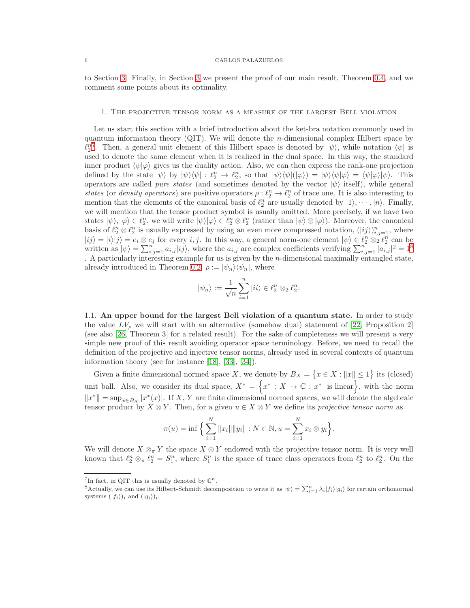<span id="page-5-0"></span>to Section [3.](#page-13-0) Finally, in Section [3](#page-13-0) we present the proof of our main result, Theorem [0.4,](#page-4-1) and we comment some points about its optimality.

### 1. The projective tensor norm as a measure of the largest Bell violation

Let us start this section with a brief introduction about the ket-bra notation commonly used in quantum information theory (QIT). We will denote the *n*-dimensional complex Hilbert space by  $\ell_2^{n^7}$  $\ell_2^{n^7}$  $\ell_2^{n^7}$ . Then, a general unit element of this Hilbert space is denoted by  $|\psi\rangle$ , while notation  $\langle\psi|$  is used to denote the same element when it is realized in the dual space. In this way, the standard inner product  $\langle \psi | \varphi \rangle$  gives us the duality action. Also, we can then express the rank-one projection defined by the state  $|\psi\rangle$  by  $|\psi\rangle\langle\psi| : \ell_2^n \to \ell_2^n$ , so that  $|\psi\rangle\langle\psi|(|\varphi\rangle) = |\psi\rangle\langle\psi|\varphi\rangle = \langle\psi|\varphi\rangle|\psi\rangle$ . This operators are called *pure states* (and sometimes denoted by the vector  $|\psi\rangle$  itself), while general *states* (or *density operators*) are positive operators  $\rho: \ell_2^n \to \ell_2^n$  of trace one. It is also interesting to mention that the elements of the canonical basis of  $\ell_2^n$  are usually denoted by  $|1\rangle, \cdots, |n\rangle$ . Finally, we will mention that the tensor product symbol is usually omitted. More precisely, if we have two states  $|\psi\rangle, |\varphi\rangle \in \ell_2^n$ , we will write  $|\psi\rangle |\varphi\rangle \in \ell_2^n \otimes \ell_2^n$  (rather than  $|\psi\rangle \otimes |\varphi\rangle$ ). Moreover, the canonical basis of  $\ell_2^n \otimes \ell_2^n$  is usually expressed by using an even more compressed notation,  $(|ij\rangle)_{i,j=1}^n$ , where  $|ij\rangle = |i\rangle |j\rangle = e_i \otimes e_j$  for every  $i, j$ . In this way, a general norm-one element  $|\psi\rangle \in \ell_2^n \otimes_2 \ell_2^n$  can be written as  $|\psi\rangle = \sum_{i,j=1}^n a_{i,j} |ij\rangle$ , where the  $a_{i,j}$  are complex coefficients verifying  $\sum_{i,j=1}^n |a_{i,j}|^2 = 1^8$  $\sum_{i,j=1}^n |a_{i,j}|^2 = 1^8$ . A particularly interesting example for us is given by the n-dimensional maximally entangled state, already introduced in Theorem [0.2,](#page-2-4)  $\rho := |\psi_n\rangle \langle \psi_n|$ , where

$$
|\psi_n\rangle:=\frac{1}{\sqrt{n}}\sum_{i=1}^n |ii\rangle\in\ell_2^n\otimes_2\ell_2^n.
$$

1.1. An upper bound for the largest Bell violation of a quantum state. In order to study the value  $LV_\rho$  we will start with an alternative (somehow dual) statement of [\[22,](#page-20-2) Proposition 2] (see also [\[26,](#page-20-15) Theorem 3] for a related result). For the sake of completeness we will present a very simple new proof of this result avoiding operator space terminology. Before, we need to recall the definition of the projective and injective tensor norms, already used in several contexts of quantum information theory (see for instance [\[18\]](#page-20-10), [\[33\]](#page-20-12), [\[34\]](#page-20-11)).

Given a finite dimensional normed space X, we denote by  $B_X = \{x \in X : ||x|| \le 1\}$  its (closed) unit ball. Also, we consider its dual space,  $X^* = \{x^* : X \to \mathbb{C} : x^* \text{ is linear}\}\,$ , with the norm  $||x^*|| = \sup_{x \in B_X} |x^*(x)|$ . If X, Y are finite dimensional normed spaces, we will denote the algebraic tensor product by  $X \otimes Y$ . Then, for a given  $u \in X \otimes Y$  we define its *projective tensor norm* as

$$
\pi(u) = \inf \Big\{ \sum_{i=1}^N ||x_i|| ||y_i|| : N \in \mathbb{N}, u = \sum_{i=1}^N x_i \otimes y_i \Big\}.
$$

We will denote  $X \otimes_{\pi} Y$  the space  $X \otimes Y$  endowed with the projective tensor norm. It is very well known that  $\ell_2^n \otimes_{\pi} \ell_2^n = S_1^n$ , where  $S_1^n$  is the space of trace class operators from  $\ell_2^n$  to  $\ell_2^n$ . On the

<sup>&</sup>lt;sup>7</sup>In fact, in QIT this is usually denoted by  $\mathbb{C}^n$ .

<span id="page-5-2"></span><span id="page-5-1"></span><sup>&</sup>lt;sup>8</sup>Actually, we can use its Hilbert-Schmidt decomposition to write it as  $|\psi\rangle = \sum_{i=1}^{n} \lambda_i |f_i\rangle |g_i\rangle$  for certain orthonormal systems  $(|f_i\rangle)_i$  and  $(|g_i\rangle)_i$ .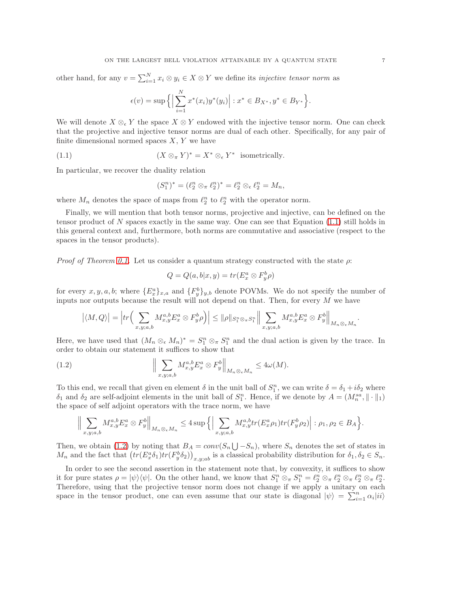other hand, for any  $v = \sum_{i=1}^{N} x_i \otimes y_i \in X \otimes Y$  we define its *injective tensor norm* as

$$
\epsilon(v) = \sup \Big\{ \Big| \sum_{i=1}^N x^*(x_i) y^*(y_i) \Big| : x^* \in B_{X^*}, y^* \in B_{Y^*} \Big\}.
$$

We will denote  $X \otimes_{\epsilon} Y$  the space  $X \otimes Y$  endowed with the injective tensor norm. One can check that the projective and injective tensor norms are dual of each other. Specifically, for any pair of finite dimensional normed spaces  $X, Y$  we have

<span id="page-6-0"></span>(1.1) 
$$
(X \otimes_{\pi} Y)^* = X^* \otimes_{\epsilon} Y^* \text{ isometrically.}
$$

In particular, we recover the duality relation

$$
(S_1^n)^* = (\ell_2^n \otimes_{\pi} \ell_2^n)^* = \ell_2^n \otimes_{\epsilon} \ell_2^n = M_n,
$$

where  $M_n$  denotes the space of maps from  $\ell_2^n$  to  $\ell_2^n$  with the operator norm.

Finally, we will mention that both tensor norms, projective and injective, can be defined on the tensor product of N spaces exactly in the same way. One can see that Equation  $(1.1)$  still holds in this general context and, furthermore, both norms are commutative and associative (respect to the spaces in the tensor products).

*Proof of Theorem [0.1.](#page-2-3)* Let us consider a quantum strategy constructed with the state  $\rho$ :

$$
Q = Q(a, b|x, y) = tr(E_x^a \otimes F_y^b \rho)
$$

for every  $x, y, a, b$ ; where  $\{E_x^a\}_{x,a}$  and  $\{F_y^b\}_{y,b}$  denote POVMs. We do not specify the number of inputs nor outputs because the result will not depend on that. Then, for every  $M$  we have

$$
\left|\langle M,Q\rangle\right|=\left|tr\Big(\sum_{x,y;a,b}M_{x,y}^{a,b}E_x^a\otimes F_y^b\rho\Big)\right|\leq \|\rho\|_{S_1^n\otimes_\pi S_1^n}\Big\|\sum_{x,y;a,b}M_{x,y}^{a,b}E_x^a\otimes F_y^b\Big\|_{M_n\otimes_\epsilon M_n}.
$$

Here, we have used that  $(M_n \otimes_{\epsilon} M_n)^* = S_1^n \otimes_{\pi} S_1^n$  and the dual action is given by the trace. In order to obtain our statement it suffices to show that

<span id="page-6-1"></span>(1.2) 
$$
\left\| \sum_{x,y;a,b} M_{x,y}^{a,b} E_x^a \otimes F_y^b \right\|_{M_n \otimes_{\epsilon} M_n} \leq 4\omega(M).
$$

To this end, we recall that given en element  $\delta$  in the unit ball of  $S_1^n$ , we can write  $\delta = \delta_1 + i\delta_2$  where  $\delta_1$  and  $\delta_2$  are self-adjoint elements in the unit ball of  $S_1^n$ . Hence, if we denote by  $A = (M_n^{sa}, \|\cdot\|_1)$ the space of self adjoint operators with the trace norm, we have

$$
\Big\|\sum_{x,y;a,b}M_{x,y}^{a,b}E_x^a \otimes F_y^b\Big\|_{M_n\otimes_{\epsilon}M_n} \leq 4\sup\Big\{\Big|\sum_{x,y;a,b}M_{x,y}^{a,b}tr(E_x^a\rho_1)tr(F_y^b\rho_2)\Big|: \rho_1,\rho_2\in B_A\Big\}.
$$

Then, we obtain [\(1.2\)](#page-6-1) by noting that  $B_A = conv(S_n \bigcup -S_n)$ , where  $S_n$  denotes the set of states in  $M_n$  and the fact that  $(tr(E_x^a \delta_1)tr(F_y^b \delta_2))_{x,y;ab}$  is a classical probability distribution for  $\delta_1, \delta_2 \in S_n$ .

In order to see the second assertion in the statement note that, by convexity, it suffices to show it for pure states  $\rho = |\psi\rangle\langle\psi|$ . On the other hand, we know that  $S_1^n \otimes_{\pi} S_1^n = \ell_2^n \otimes_{\pi} \ell_2^n \otimes_{\pi} \ell_2^n \otimes_{\pi} \ell_2^n$ . Therefore, using that the projective tensor norm does not change if we apply a unitary on each space in the tensor product, one can even assume that our state is diagonal  $|\psi\rangle = \sum_{i=1}^{n} \alpha_i |ii\rangle$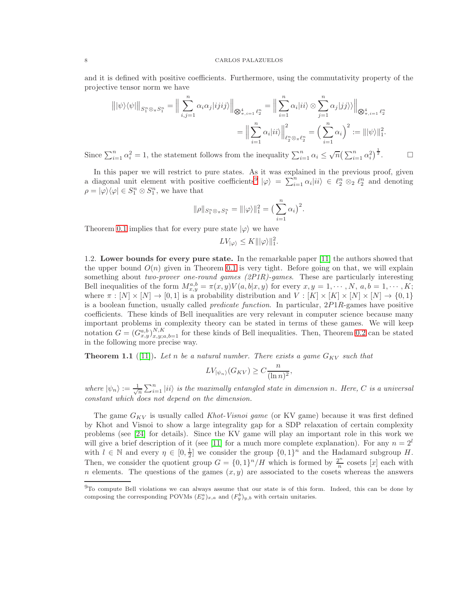and it is defined with positive coefficients. Furthermore, using the commutativity property of the projective tensor norm we have

$$
\| |\psi\rangle \langle \psi|| \big|_{S_1^n \otimes \pi S_1^n} = \Big\| \sum_{i,j=1}^n \alpha_i \alpha_j |ijij\rangle \Big\|_{\bigotimes_{\pi, i=1}^4 \ell_2^n} = \Big\| \sum_{i=1}^n \alpha_i |ii\rangle \otimes \sum_{j=1}^n \alpha_j |jj\rangle \Big\|_{\bigotimes_{\pi, i=1}^4 \ell_2^n}
$$

$$
= \Big\| \sum_{i=1}^n \alpha_i |ii\rangle \Big\|_{\ell_2^n \otimes \pi \ell_2^n}^2 = \Big(\sum_{i=1}^n \alpha_i\Big)^2 := \| |\psi\rangle \|_1^2.
$$

Since  $\sum_{i=1}^n \alpha_i^2 = 1$ , the statement follows from the inequality  $\sum_{i=1}^n \alpha_i \leq \sqrt{n} \left(\sum_{i=1}^n \alpha_i^2\right)^{\frac{1}{2}}$  $\Box$ 

In this paper we will restrict to pure states. As it was explained in the previous proof, given a diagonal unit element with positive coefficients<sup>[9](#page-7-1)</sup>  $|\varphi\rangle = \sum_{i=1}^n \alpha_i |ii\rangle \in \ell_2^n \otimes_2 \ell_2^n$  and denoting  $\rho = |\varphi\rangle\langle\varphi| \in S_1^n \otimes S_1^n$ , we have that

$$
\|\rho\|_{S_1^n \otimes_{\pi} S_1^n} = \||\varphi\rangle\|_1^2 = \left(\sum_{i=1}^n \alpha_i\right)^2.
$$

Theorem [0.1](#page-2-3) implies that for every pure state  $|\varphi\rangle$  we have

 $LV_{|\varphi\rangle} \leq K \|\varphi\rangle\|_1^2.$ 

<span id="page-7-0"></span>1.2. Lower bounds for every pure state. In the remarkable paper [\[11\]](#page-19-3) the authors showed that the upper bound  $O(n)$  given in Theorem [0.1](#page-2-3) is very tight. Before going on that, we will explain something about *two-prover one-round games (2P1R)-games*. These are particularly interesting Bell inequalities of the form  $M_{x,y}^{a,b} = \pi(x,y)V(a,b|x,y)$  for every  $x, y = 1, \dots, N, a, b = 1, \dots, K;$ where  $\pi : [N] \times [N] \to [0,1]$  is a probability distribution and  $V : [K] \times [K] \times [N] \times [N] \to \{0,1\}$ is a boolean function, usually called *predicate function*. In particular, 2P1R-games have positive coefficients. These kinds of Bell inequalities are very relevant in computer science because many important problems in complexity theory can be stated in terms of these games. We will keep notation  $G = (G_{x,y}^{a,b})_{x,y;a,b=1}^{N,K}$  for these kinds of Bell inequalities. Then, Theorem [0.2](#page-2-4) can be stated in the following more precise way.

<span id="page-7-2"></span>**Theorem 1.1** ([\[11\]](#page-19-3)). Let n be a natural number. There exists a game  $G_{KV}$  such that

$$
LV_{|\psi_n\rangle}(G_{KV}) \ge C \frac{n}{(\ln n)^2},
$$

where  $|\psi_n\rangle := \frac{1}{\sqrt{n}} \sum_{i=1}^n |ii\rangle$  *is the maximally entangled state in dimension n. Here, C is a universal constant which does not depend on the dimension.*

The game GKV is usually called *Khot-Visnoi game* (or KV game) because it was first defined by Khot and Visnoi to show a large integrality gap for a SDP relaxation of certain complexity problems (see [\[24\]](#page-20-16) for details). Since the KV game will play an important role in this work we will give a brief description of it (see [\[11\]](#page-19-3) for a much more complete explanation). For any  $n = 2^l$ with  $l \in \mathbb{N}$  and every  $\eta \in [0, \frac{1}{2}]$  we consider the group  $\{0, 1\}^n$  and the Hadamard subgroup H. Then, we consider the quotient group  $G = \{0,1\}^n/H$  which is formed by  $\frac{2^n}{n}$  $\frac{2^n}{n}$  cosets [x] each with n elements. The questions of the games  $(x, y)$  are associated to the cosets whereas the answers

<span id="page-7-1"></span><sup>9</sup>To compute Bell violations we can always assume that our state is of this form. Indeed, this can be done by composing the corresponding POVMs  $(E_x^a)_{x,a}$  and  $(F_y^b)_{y,b}$  with certain unitaries.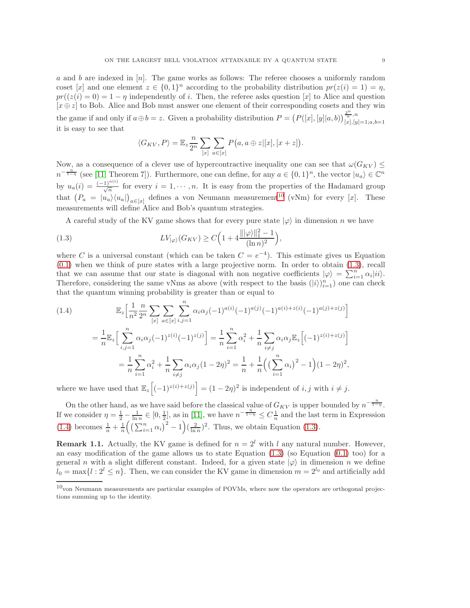a and b are indexed in  $[n]$ . The game works as follows: The referee chooses a uniformly random coset [x] and one element  $z \in \{0,1\}^n$  according to the probability distribution  $pr(z(i) = 1) = \eta$ ,  $pr((z(i) = 0) = 1 - \eta$  independently of i. Then, the referee asks question [x] to Alice and question  $[x \oplus z]$  to Bob. Alice and Bob must answer one element of their corresponding cosets and they win the game if and only if  $a \oplus b = z$ . Given a probability distribution  $P = (P([x], [y]|a, b))\frac{2^n}{[x], [y]}$  $[x], [y]=1; a, b=1$ it is easy to see that

$$
\langle G_{KV}, P \rangle = \mathbb{E}_z \frac{n}{2^n} \sum_{[x]} \sum_{a \in [x]} P(a, a \oplus z | [x], [x+z]).
$$

Now, as a consequence of a clever use of hypercontractive inequality one can see that  $\omega(G_{KV}) \leq$  $n^{-\frac{n}{1-n}}$  (see [\[11,](#page-19-3) Theorem 7]). Furthermore, one can define, for any  $a \in \{0,1\}^n$ , the vector  $|u_a\rangle \in \mathbb{C}^n$ by  $u_a(i) = \frac{(-1)^{a(i)}}{\sqrt{n}}$  for every  $i = 1, \dots, n$ . It is easy from the properties of the Hadamard group that  $(P_a = |u_a\rangle\langle u_a|)$  $a \in [x]$  defines a von Neumann measurement<sup>[10](#page-8-0)</sup> (vNm) for every [x]. These measurements will define Alice and Bob's quantum strategies.

A careful study of the KV game shows that for every pure state  $|\varphi\rangle$  in dimension n we have

<span id="page-8-1"></span>(1.3) 
$$
LV_{|\varphi\rangle}(G_{KV}) \ge C\Big(1 + 4\frac{\||\varphi\rangle\|_1^2 - 1}{(\ln n)^2}\Big),
$$

where C is a universal constant (which can be taken  $C = e^{-4}$ ). This estimate gives us Equation  $(0.1)$  when we think of pure states with a large projective norm. In order to obtain  $(1.3)$ , recall that we can assume that our state is diagonal with non negative coefficients  $|\varphi\rangle = \sum_{i=1}^{n} \alpha_i |ii\rangle$ . Therefore, considering the same vNms as above (with respect to the basis  $(|i\rangle)_{i=1}^n$ ) one can check that the quantum winning probability is greater than or equal to

<span id="page-8-2"></span>(1.4)  
\n
$$
\mathbb{E}_{z} \Big[ \frac{1}{n^2} \frac{n}{2^n} \sum_{[x]} \sum_{a \in [x]} \sum_{i,j=1}^{n} \alpha_i \alpha_j (-1)^{a(i)} (-1)^{a(j)} (-1)^{a(i)+z(i)} (-1)^{a(j)+z(j)} \Big]
$$
\n
$$
= \frac{1}{n} \mathbb{E}_{z} \Big[ \sum_{i,j=1}^{n} \alpha_i \alpha_j (-1)^{z(i)} (-1)^{z(j)} \Big] = \frac{1}{n} \sum_{i=1}^{n} \alpha_i^2 + \frac{1}{n} \sum_{i \neq j} \alpha_i \alpha_j \mathbb{E}_{z} \Big[ (-1)^{z(i)+z(j)} \Big]
$$
\n
$$
= \frac{1}{n} \sum_{i=1}^{n} \alpha_i^2 + \frac{1}{n} \sum_{i \neq j} \alpha_i \alpha_j (1 - 2\eta)^2 = \frac{1}{n} + \frac{1}{n} \Big( \Big( \sum_{i=1}^{n} \alpha_i \Big)^2 - 1 \Big) (1 - 2\eta)^2,
$$

where we have used that  $\mathbb{E}_z \Big[ (-1)^{z(i)+z(j)} \Big] = (1-2\eta)^2$  is independent of  $i, j$  with  $i \neq j$ .

On the other hand, as we have said before the classical value of  $G_{KV}$  is upper bounded by  $n^{-\frac{\eta}{1-\eta}}$ . If we consider  $\eta = \frac{1}{2} - \frac{1}{\ln n} \in [0, \frac{1}{2}],$  as in [\[11\]](#page-19-3), we have  $n^{-\frac{\eta}{1-\eta}} \leq C\frac{1}{n}$  and the last term in Expression [\(1.4\)](#page-8-2) becomes  $\frac{1}{n} + \frac{1}{n} \left( \left( \sum_{i=1}^n \alpha_i \right)^2 - 1 \right) \left( \frac{2}{\ln n} \right)^2$ . Thus, we obtain Equation [\(1.3\)](#page-8-1).

<span id="page-8-3"></span>**Remark 1.1.** Actually, the KV game is defined for  $n = 2^l$  with l any natural number. However, an easy modification of the game allows us to state Equation  $(1.3)$  (so Equation  $(0.1)$  too) for a general n with a slight different constant. Indeed, for a given state  $|\varphi\rangle$  in dimension n we define  $l_0 = \max\{l : 2^l \leq n\}$ . Then, we can consider the KV game in dimension  $m = 2^{l_0}$  and artificially add

<span id="page-8-0"></span> $10$ von Neumann measurements are particular examples of POVMs, where now the operators are orthogonal projections summing up to the identity.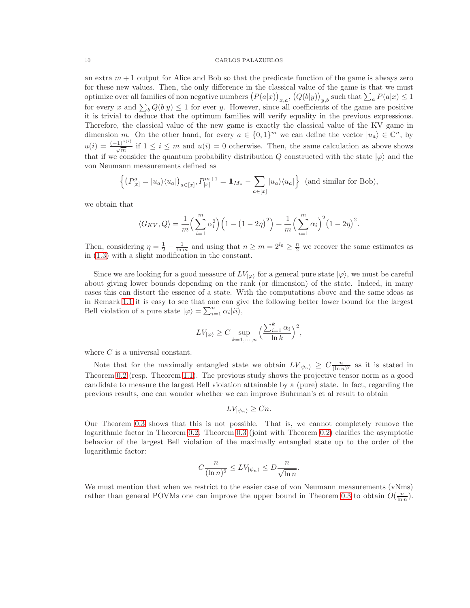an extra  $m + 1$  output for Alice and Bob so that the predicate function of the game is always zero for these new values. Then, the only difference in the classical value of the game is that we must optimize over all families of non negative numbers  $(P(a|x))_{x,a}$ ,  $(Q(b|y))_{y,b}$  such that  $\sum_a P(a|x) \leq 1$ for every x and  $\sum_b Q(b|y) \le 1$  for ever y. However, since all coefficients of the game are positive it is trivial to deduce that the optimum families will verify equality in the previous expressions. Therefore, the classical value of the new game is exactly the classical value of the KV game in dimension m. On the other hand, for every  $a \in \{0,1\}^m$  we can define the vector  $|u_a\rangle \in \mathbb{C}^n$ , by  $u(i) = \frac{(-1)^{a(i)}}{\sqrt{m}}$  if  $1 \leq i \leq m$  and  $u(i) = 0$  otherwise. Then, the same calculation as above shows that if we consider the quantum probability distribution Q constructed with the state  $|\varphi\rangle$  and the von Neumann measurements defined as

$$
\left\{ \left( P_{[x]}^a = |u_a\rangle \langle u_a| \right)_{a \in [x]}, P_{[x]}^{m+1} = \mathbb{1}_{M_n} - \sum_{a \in [x]} |u_a\rangle \langle u_a| \right\} \text{ (and similar for Bob)},
$$

we obtain that

$$
\langle G_{KV}, Q \rangle = \frac{1}{m} \left( \sum_{i=1}^{m} \alpha_i^2 \right) \left( 1 - \left( 1 - 2\eta \right)^2 \right) + \frac{1}{m} \left( \sum_{i=1}^{m} \alpha_i \right)^2 \left( 1 - 2\eta \right)^2.
$$

Then, considering  $\eta = \frac{1}{2} - \frac{1}{\ln m}$  and using that  $n \ge m = 2^{l_0} \ge \frac{n}{2}$  we recover the same estimates as in [\(1.3\)](#page-8-1) with a slight modification in the constant.

Since we are looking for a good measure of  $LV_{|\varphi\rangle}$  for a general pure state  $|\varphi\rangle$ , we must be careful about giving lower bounds depending on the rank (or dimension) of the state. Indeed, in many cases this can distort the essence of a state. With the computations above and the same ideas as in Remark [1.1](#page-8-3) it is easy to see that one can give the following better lower bound for the largest Bell violation of a pure state  $|\varphi\rangle = \sum_{i=1}^{n} \alpha_i |ii\rangle$ ,

$$
LV_{|\varphi\rangle} \ge C \sup_{k=1,\cdots,n} \Big(\frac{\sum_{i=1}^k\alpha_i}{\ln k}\Big)^2,
$$

where  $C$  is a universal constant.

Note that for the maximally entangled state we obtain  $LV_{|\psi_n\rangle} \geq C \frac{n}{(\ln n)^2}$  as it is stated in Theorem [0.2](#page-2-4) (resp. Theorem [1.1\)](#page-7-2). The previous study shows the projective tensor norm as a good candidate to measure the largest Bell violation attainable by a (pure) state. In fact, regarding the previous results, one can wonder whether we can improve Buhrman's et al result to obtain

$$
LV_{|\psi_n\rangle}\geq Cn.
$$

Our Theorem [0.3](#page-3-2) shows that this is not possible. That is, we cannot completely remove the logarithmic factor in Theorem [0.2.](#page-2-4) Theorem [0.3](#page-3-2) (joint with Theorem [0.2\)](#page-2-4) clarifies the asymptotic behavior of the largest Bell violation of the maximally entangled state up to the order of the logarithmic factor:

$$
C\frac{n}{(\ln n)^2}\leq L V_{|\psi_n\rangle}\leq D\frac{n}{\sqrt{\ln n}}.
$$

We must mention that when we restrict to the easier case of von Neumann measurements (vNms) rather than general POVMs one can improve the upper bound in Theorem [0.3](#page-3-2) to obtain  $O(\frac{n}{\ln n})$ .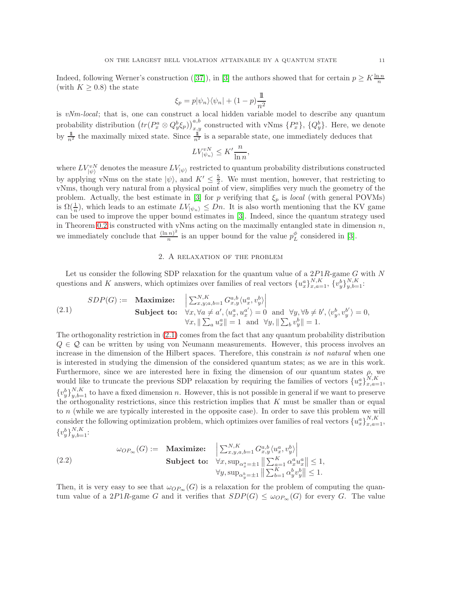Indeed, following Werner's construction ([\[37\]](#page-20-17)), in [\[3\]](#page-19-11) the authors showed that for certain  $p \geq K \frac{\ln n}{n}$ (with  $K > 0.8$ ) the state

$$
\xi_p = p|\psi_n\rangle\langle\psi_n| + (1 - p)\frac{1}{n^2}
$$

is *vNm-local*; that is, one can construct a local hidden variable model to describe any quantum probability distribution  $(tr(P_x^a \otimes Q_y^b \xi_p))_{x,y}^{a,b}$  constructed with vNms  $\{P_x^a\}$ ,  $\{Q_y^b\}$ . Here, we denote by  $\frac{1}{n^2}$  the maximally mixed state. Since  $\frac{1}{n^2}$  is a separable state, one immediately deduces that

$$
LV_{|\psi_n\rangle}^{vN} \le K'\frac{n}{\ln n},
$$

where  $LV_{\ket{\psi}}^{vN}$  denotes the measure  $LV_{\ket{\psi}}$  restricted to quantum probability distributions constructed by applying vNms on the state  $|\psi\rangle$ , and  $K' \leq \frac{5}{2}$ . We must mention, however, that restricting to vNms, though very natural from a physical point of view, simplifies very much the geometry of the problem. Actually, the best estimate in [\[3\]](#page-19-11) for p verifying that  $\xi_p$  is *local* (with general POVMs) is  $\Omega(\frac{1}{n})$ , which leads to an estimate  $LV_{|\psi_n\rangle} \leq Dn$ . It is also worth mentioning that the KV game can be used to improve the upper bound estimates in [\[3\]](#page-19-11). Indeed, since the quantum strategy used in Theorem [0.2](#page-2-4) is constructed with vNms acting on the maximally entangled state in dimension  $n$ , we immediately conclude that  $\frac{(\ln n)^2}{n}$  $\frac{(n)^2}{n}$  is an upper bound for the value  $p_L^{\phi}$  considered in [\[3\]](#page-19-11).

# 2. A relaxation of the problem

<span id="page-10-0"></span>Let us consider the following SDP relaxation for the quantum value of a  $2P1R$ -game G with N questions and K answers, which optimizes over families of real vectors  $\{u_x^a\}_{x,a=1}^{N,K}, \{v_y^b\}_{y,b=1}^{N,K}$ .

<span id="page-10-1"></span>(2.1) 
$$
SDP(G) := \underset{\forall x, \forall a \neq a', \langle u_x^a, u_x^a \rangle = 0}{\text{Maximize:}} \left| \sum_{x, y; a, b=1}^{N, K} G_{x, y}^{a, b} \langle u_x^a, v_y^b \rangle \right|
$$

$$
\text{Subject to: } \forall x, \forall a \neq a', \langle u_x^a, u_x^a \rangle = 0 \text{ and } \forall y, \forall b \neq b', \langle v_y^b, v_y^b \rangle = 0,
$$

$$
\forall x, \|\sum_a u_x^a\| = 1 \text{ and } \forall y, \|\sum_b v_y^b\| = 1.
$$

The orthogonality restriction in [\(2.1\)](#page-10-1) comes from the fact that any quantum probability distribution  $Q \in \mathcal{Q}$  can be written by using von Neumann measurements. However, this process involves an increase in the dimension of the Hilbert spaces. Therefore, this constrain *is not natural* when one is interested in studying the dimension of the considered quantum states; as we are in this work. Furthermore, since we are interested here in fixing the dimension of our quantum states  $\rho$ , we would like to truncate the previous SDP relaxation by requiring the families of vectors  $\{u_x^a\}_{x,a=1}^{N,K}$ ,  $\{v_y^b\}_{y,b=1}^{N,K}$  to have a fixed dimension n. However, this is not possible in general if we want to preserve the orthogonality restrictions, since this restriction implies that  $K$  must be smaller than or equal to  $n$  (while we are typically interested in the opposite case). In order to save this problem we will consider the following optimization problem, which optimizes over families of real vectors  $\{u_x^a\}_{x,a=1}^{N,K}$ ,  $\{v_y^b\}_{y,b=1}^{N,K}$ :

(2.2) 
$$
\omega_{OP_{\infty}}(G) := \underset{\forall x, y, a, b=1}{\text{Maximize:}} \left\| \sum_{x,y,a,b=1}^{N,K} G_{x,y}^{a,b} \langle u_x^a, v_y^b \rangle \right\|
$$

$$
\text{Subject to: } \forall x, \sup_{\alpha_x^a = \pm 1} \left\| \sum_{x,a=1}^{K} \alpha_x^a u_x^a \right\| \le 1,
$$

$$
\forall y, \sup_{\alpha_y^b = \pm 1} \left\| \sum_{b=1}^{K} \alpha_y^b v_y^b \right\| \le 1.
$$

Then, it is very easy to see that  $\omega_{OP_{\infty}}(G)$  is a relaxation for the problem of computing the quantum value of a 2P1R-game G and it verifies that  $SDP(G) \leq \omega_{OP_{\infty}}(G)$  for every G. The value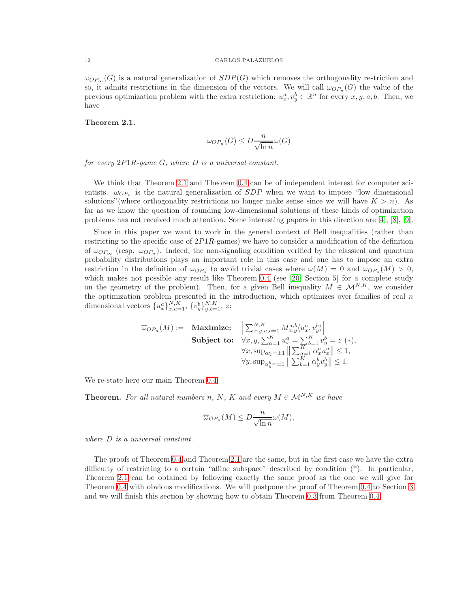$\omega_{OP<sub>∞</sub>}(G)$  is a natural generalization of  $SDP(G)$  which removes the orthogonality restriction and so, it admits restrictions in the dimension of the vectors. We will call  $\omega_{OP_n}(G)$  the value of the previous optimization problem with the extra restriction:  $u_x^a, v_y^b \in \mathbb{R}^n$  for every  $x, y, a, b$ . Then, we have

# <span id="page-11-0"></span>Theorem 2.1.

$$
\omega_{OP_n}(G) \le D \frac{n}{\sqrt{\ln n}} \omega(G)
$$

*for every* 2P1R*-game* G*, where* D *is a universal constant.*

We think that Theorem [2.1](#page-11-0) and Theorem [0.4](#page-4-1) can be of independent interest for computer scientists.  $\omega_{OP_n}$  is the natural generalization of  $SDP$  when we want to impose "low dimensional solutions" (where orthogonality restrictions no longer make sense since we will have  $K > n$ ). As far as we know the question of rounding low-dimensional solutions of these kinds of optimization problems has not received much attention. Some interesting papers in this direction are [\[4\]](#page-19-6), [\[8\]](#page-19-7), [\[9\]](#page-19-8).

Since in this paper we want to work in the general context of Bell inequalities (rather than restricting to the specific case of 2P1R-games) we have to consider a modification of the definition of  $\omega_{OP_{\infty}}$  (resp.  $\omega_{OP_n}$ ). Indeed, the non-signaling condition verified by the classical and quantum probability distributions plays an important role in this case and one has to impose an extra restriction in the definition of  $\omega_{OP_n}$  to avoid trivial cases where  $\omega(M) = 0$  and  $\omega_{OP_n}(M) > 0$ , which makes not possible any result like Theorem [0.4](#page-4-1) (see [\[20,](#page-20-0) Section 5] for a complete study on the geometry of the problem). Then, for a given Bell inequality  $M \in \mathcal{M}^{N,K}$ , we consider the optimization problem presented in the introduction, which optimizes over families of real  $n$ dimensional vectors  $\{u_x^a\}_{x,a=1}^{N,K}, \{v_y^b\}_{y,b=1}^{N,K}, z$ :

$$
\overline{\omega}_{OP_n}(M) := \begin{array}{ll}\text{Maximize:} & \left| \sum_{x,y,a,b=1}^{N,K} M_{x,y}^{a,b} \langle u_x^a, v_y^b \rangle \right| \\ \text{Subject to:} & \forall x, y, \sum_{a=1}^K u_x^a = \sum_{b=1}^K v_y^b = z \ (*), \\ & \forall x, \sup_{\alpha_x^a = \pm 1} \left\| \sum_{a=1}^K \alpha_x^a u_x^a \right\| \le 1, \\ & \forall y, \sup_{\alpha_y^b = \pm 1} \left\| \sum_{b=1}^K \alpha_y^b v_y^b \right\| \le 1. \end{array}
$$

We re-state here our main Theorem [0.4.](#page-4-1)

**Theorem.** For all natural numbers n, N, K and every  $M \in \mathcal{M}^{N,K}$  we have

$$
\overline{\omega}_{OP_n}(M) \le D \frac{n}{\sqrt{\ln n}} \omega(M),
$$

*where* D *is a universal constant.*

The proofs of Theorem [0.4](#page-4-1) and Theorem [2.1](#page-11-0) are the same, but in the first case we have the extra difficulty of restricting to a certain "affine subspace" described by condition (\*). In particular, Theorem [2.1](#page-11-0) can be obtained by following exactly the same proof as the one we will give for Theorem [0.4](#page-4-1) with obvious modifications. We will postpone the proof of Theorem [0.4](#page-4-1) to Section [3](#page-13-0) and we will finish this section by showing how to obtain Theorem [0.3](#page-3-2) from Theorem [0.4.](#page-4-1)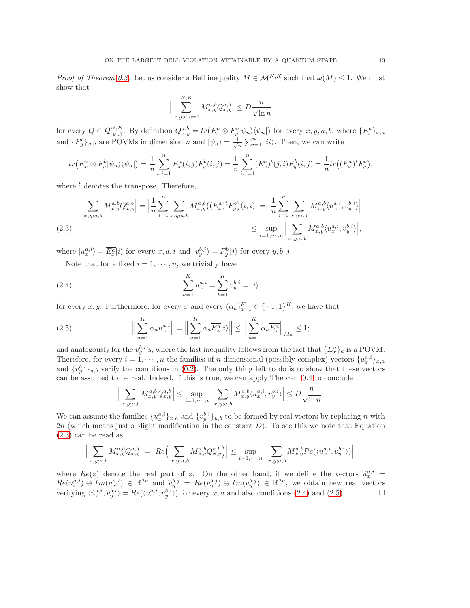*Proof of Theorem [0.3.](#page-3-2)* Let us consider a Bell inequality  $M \in \mathcal{M}^{N,K}$  such that  $\omega(M) \leq 1$ . We must show that

$$
\Big|\sum_{x,y;a,b=1}^{N,K} M_{x,y}^{a,b} Q_{x,y}^{a,b}\Big| \le D\frac{n}{\sqrt{\ln n}}
$$

for every  $Q \in \mathcal{Q}_{|\psi_n\rangle}^{N,K}$ . By definition  $Q_{x,y}^{a,b} = tr(E_x^a \otimes F_y^b |\psi_n\rangle \langle \psi_n|)$  for every  $x, y, a, b$ , where  $\{E_x^a\}_{x,a}$ and  $\{F_y^b\}_{y,b}$  are POVMs in dimension n and  $|\psi_n\rangle = \frac{1}{\sqrt{n}} \sum_{i=1}^n |ii\rangle$ . Then, we can write

$$
tr(E_x^a \otimes F_y^b |\psi_n\rangle \langle \psi_n|) = \frac{1}{n} \sum_{i,j=1}^n E_x^a(i,j) F_y^b(i,j) = \frac{1}{n} \sum_{i,j=1}^n (E_x^a)^t(j,i) F_y^b(i,j) = \frac{1}{n} tr((E_x^a)^t F_y^b),
$$

where  $t$  denotes the transpose. Therefore,

$$
\Big| \sum_{x,y;a,b} M_{x,y}^{a,b} Q_{x,y}^{a,b} \Big| = \Big| \frac{1}{n} \sum_{i=1}^n \sum_{x,y;a,b} M_{x,y}^{a,b} \big( (E_x^a)^t F_y^b \big)(i,i) \Big| = \Big| \frac{1}{n} \sum_{i=1}^n \sum_{x,y;a,b} M_{x,y}^{a,b} \langle u_x^{a,i}, v_y^{b,i} \rangle \Big|
$$
  
(2.3) 
$$
\leq \sup_{i=1,\cdots,n} \Big| \sum_{x,y;a,b} M_{x,y}^{a,b} \langle u_x^{a,i}, v_y^{b,i} \rangle \Big|,
$$

<span id="page-12-0"></span>where  $|u_x^{a,i}\rangle = \overline{E_x^a}|i\rangle$  for every  $x, a, i$  and  $|v_y^{b,j}\rangle = F_y^b|j\rangle$  for every  $y, b, j$ .

Note that for a fixed  $i = 1, \dots, n$ , we trivially have

<span id="page-12-1"></span>(2.4) 
$$
\sum_{a=1}^{K} u_x^{a,i} = \sum_{b=1}^{K} v_y^{b,i} = |i\rangle
$$

for every x, y. Furthermore, for every x and every  $(\alpha_a)_{a=1}^K \in \{-1,1\}^K$ , we have that

<span id="page-12-2"></span>(2.5) 
$$
\Big\|\sum_{a=1}^K \alpha_a u_x^{a,i}\Big\| = \Big\|\sum_{a=1}^K \alpha_a \overline{E_x^a}|i\rangle\Big\| \le \Big\|\sum_{a=1}^K \alpha_a \overline{E_x^a}\Big\|_{M_n} \le 1;
$$

and analogously for the  $v_y^{b,i}$ 's, where the last inequality follows from the fact that  $\{E_x^a\}_a$  is a POVM. Therefore, for every  $i = 1, \dots, n$  the families of *n*-dimensional (possibly complex) vectors  $\{u_x^{a,i}\}_{x,a}$ and  $\{v_y^{b,i}\}_{y,b}$  verify the conditions in [\(0.2\)](#page-3-3). The only thing left to do is to show that these vectors can be assumed to be real. Indeed, if this is true, we can apply Theorem [0.4](#page-4-1) to conclude

$$
\Big|\sum_{x,y;a,b} M_{x,y}^{a,b} Q_{x,y}^{a,b}\Big| \leq \sup_{i=1,\cdots,n} \Big|\sum_{x,y;a,b} M_{x,y}^{a,b} \langle u_x^{a,i}, v_y^{b,i} \rangle \Big| \leq D \frac{n}{\sqrt{\ln n}}.
$$

We can assume the families  $\{u_x^{a,i}\}_{x,a}$  and  $\{v_y^{b,i}\}_{y,b}$  to be formed by real vectors by replacing n with  $2n$  (which means just a slight modification in the constant  $D$ ). To see this we note that Equation [\(2.3\)](#page-12-0) can be read as

$$
\Big|\sum_{x,y;a,b}M^{a,b}_{x,y}Q^{a,b}_{x,y}\Big|=\Big|Re\Big(\sum_{x,y;a,b}M^{a,b}_{x,y}Q^{a,b}_{x,y}\Big)\Big|\leq \sup_{i=1,\cdots,n}\Big|\sum_{x,y;a,b}M^{a,b}_{x,y}Re(\langle u^{a,i}_x,v^{b,i}_y\rangle)\Big|,
$$

where  $Re(z)$  denote the real part of z. On the other hand, if we define the vectors  $\tilde{u}_x^{a,i} =$  $Re(u_x^{a,i}) \oplus Im(u_x^{a,i}) \in \mathbb{R}^{2n}$  and  $\tilde{v}_y^{b,j} = Re(v_y^{b,j}) \oplus Im(v_y^{b,j}) \in \mathbb{R}^{2n}$ , we obtain new real vectors verifying  $\langle \tilde{u}_x^{a,i}, \tilde{v}_y^{b,i} \rangle = Re(\langle u_x^{a,i}, v_y^{b,i} \rangle)$  for every  $x, a$  and also conditions [\(2.4\)](#page-12-1) and [\(2.5\)](#page-12-2).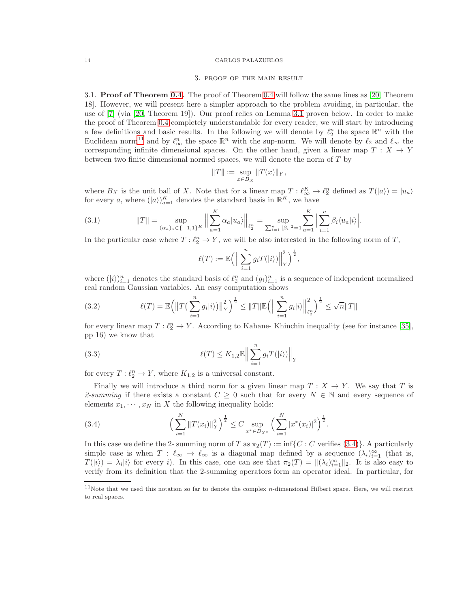#### 3. proof of the main result

<span id="page-13-0"></span>3.1. **Proof of Theorem [0.4.](#page-4-1)** The proof of Theorem [0.4](#page-4-1) will follow the same lines as [\[20,](#page-20-0) Theorem 18]. However, we will present here a simpler approach to the problem avoiding, in particular, the use of [\[7\]](#page-19-10) (via [\[20,](#page-20-0) Theorem 19]). Our proof relies on Lemma [3.1](#page-14-0) proven below. In order to make the proof of Theorem [0.4](#page-4-1) completely understandable for every reader, we will start by introducing a few definitions and basic results. In the following we will denote by  $\ell_2^n$  the space  $\mathbb{R}^n$  with the Euclidean norm<sup>[11](#page-13-1)</sup> and by  $\ell_{\infty}^n$  the space  $\mathbb{R}^n$  with the sup-norm. We will denote by  $\ell_2$  and  $\ell_{\infty}$  the corresponding infinite dimensional spaces. On the other hand, given a linear map  $T : X \to Y$ between two finite dimensional normed spaces, we will denote the norm of T by

$$
||T|| := \sup_{x \in B_X} ||T(x)||_Y,
$$

where  $B_X$  is the unit ball of X. Note that for a linear map  $T : \ell_{\infty}^K \to \ell_2^n$  defined as  $T(|a\rangle) = |u_a\rangle$ for every a, where  $(|a\rangle)_{a=1}^K$  denotes the standard basis in  $\mathbb{R}^K$ , we have

<span id="page-13-3"></span>(3.1) 
$$
||T|| = \sup_{(\alpha_a)_a \in \{-1,1\}^K} \left\| \sum_{a=1}^K \alpha_a |u_a\rangle \right\|_{\ell_2^n} = \sup_{\sum_{i=1}^n |\beta_i|^2 = 1} \sum_{a=1}^K \left| \sum_{i=1}^n \beta_i \langle u_a | i \rangle \right|.
$$

In the particular case where  $T: \ell_2^n \to Y$ , we will be also interested in the following norm of T,

$$
\ell(T) := \mathbb{E}\Big(\Big\|\sum_{i=1}^n g_i T(|i\rangle)\Big\|_Y^2\Big)^{\frac{1}{2}},
$$

where  $(|i\rangle)_{i=1}^n$  denotes the standard basis of  $\ell_2^n$  and  $(g_i)_{i=1}^n$  is a sequence of independent normalized real random Gaussian variables. An easy computation shows

<span id="page-13-5"></span>(3.2) 
$$
\ell(T) = \mathbb{E}\Big(\big\|T\big(\sum_{i=1}^n g_i|i\rangle\big)\big\|_Y^2\Big)^{\frac{1}{2}} \leq \|T\|\mathbb{E}\Big(\Big\|\sum_{i=1}^n g_i|i\rangle\Big\|_{\ell_2^n}^2\Big)^{\frac{1}{2}} \leq \sqrt{n}\|T\|
$$

for every linear map  $T : \ell_2^n \to Y$ . According to Kahane-Khinchin inequality (see for instance [\[35\]](#page-20-18), pp 16) we know that

<span id="page-13-4"></span>(3.3) 
$$
\ell(T) \leq K_{1,2} \mathbb{E} \left\| \sum_{i=1}^{n} g_i T(|i\rangle) \right\|_{Y}
$$

for every  $T: \ell_2^n \to Y$ , where  $K_{1,2}$  is a universal constant.

Finally we will introduce a third norm for a given linear map  $T : X \to Y$ . We say that T is 2-summing if there exists a constant  $C \geq 0$  such that for every  $N \in \mathbb{N}$  and every sequence of elements  $x_1, \dots, x_N$  in X the following inequality holds:

<span id="page-13-2"></span>(3.4) 
$$
\left(\sum_{i=1}^{N} ||T(x_i)||_Y^2\right)^{\frac{1}{2}} \leq C \sup_{x^* \in B_{X^*}} \left(\sum_{i=1}^{N} |x^*(x_i)|^2\right)^{\frac{1}{2}}.
$$

In this case we define the 2- summing norm of T as  $\pi_2(T) := \inf\{C : C$  verifies  $(3.4)\}\.$  $(3.4)\}\.$  $(3.4)\}\.$  A particularly simple case is when  $T : \ell_{\infty} \to \ell_{\infty}$  is a diagonal map defined by a sequence  $(\lambda_i)_{i=1}^{\infty}$  (that is,  $T(|i\rangle) = \lambda_i |i\rangle$  for every i). In this case, one can see that  $\pi_2(T) = ||(\lambda_i)_{i=1}^{\infty}||_2$ . It is also easy to verify from its definition that the 2-summing operators form an operator ideal. In particular, for

<span id="page-13-1"></span> $11$ Note that we used this notation so far to denote the complex *n*-dimensional Hilbert space. Here, we will restrict to real spaces.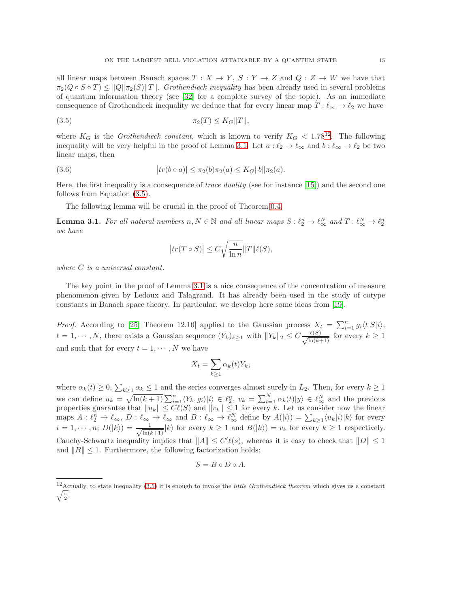all linear maps between Banach spaces  $T : X \to Y$ ,  $S : Y \to Z$  and  $Q : Z \to W$  we have that  $\pi_2(Q \circ S \circ T) \leq ||Q||\pi_2(S)||T||$ . *Grothendieck inequality* has been already used in several problems of quantum information theory (see [\[32\]](#page-20-19) for a complete survey of the topic). As an immediate consequence of Grothendieck inequality we deduce that for every linear map  $T : \ell_{\infty} \to \ell_2$  we have

<span id="page-14-2"></span>
$$
\pi_2(T) \le K_G ||T||,
$$

where  $K_G$  is the *Grothendieck constant*, which is known to verify  $K_G < 1.78^{12}$  $K_G < 1.78^{12}$  $K_G < 1.78^{12}$ . The following inequality will be very helpful in the proof of Lemma [3.1.](#page-14-0) Let  $a: \ell_2 \to \ell_\infty$  and  $b: \ell_\infty \to \ell_2$  be two linear maps, then

<span id="page-14-3"></span>(3.6) 
$$
|tr(b \circ a)| \leq \pi_2(b)\pi_2(a) \leq K_G ||b|| \pi_2(a).
$$

Here, the first inequality is a consequence of *trace duality* (see for instance [\[15\]](#page-20-20)) and the second one follows from Equation [\(3.5\)](#page-14-2).

The following lemma will be crucial in the proof of Theorem [0.4.](#page-4-1)

<span id="page-14-0"></span>**Lemma 3.1.** For all natural numbers  $n, N \in \mathbb{N}$  and all linear maps  $S: \ell_2^n \to \ell_\infty^N$  and  $T: \ell_\infty^N \to \ell_2^n$ *we have*

$$
\big| tr(T \circ S) \big| \leq C \sqrt{\frac{n}{\ln n}} \|T\| \ell(S),
$$

*where* C *is a universal constant.*

The key point in the proof of Lemma [3.1](#page-14-0) is a nice consequence of the concentration of measure phenomenon given by Ledoux and Talagrand. It has already been used in the study of cotype constants in Banach space theory. In particular, we develop here some ideas from [\[19\]](#page-20-21).

*Proof.* According to [\[25,](#page-20-22) Theorem 12.10] applied to the Gaussian process  $X_t = \sum_{i=1}^n g_i \langle t | S | i \rangle$ ,  $t = 1, \dots, N$ , there exists a Gaussian sequence  $(Y_k)_{k \geq 1}$  with  $||Y_k||_2 \leq C \frac{\ell(S)}{\sqrt{\ln(kS)}}$  $\frac{k(S)}{\ln(k+1)}$  for every  $k \geq 1$ and such that for every  $t = 1, \dots, N$  we have

$$
X_t = \sum_{k \ge 1} \alpha_k(t) Y_k,
$$

where  $\alpha_k(t) \geq 0$ ,  $\sum_{k>1} \alpha_k \leq 1$  and the series converges almost surely in  $L_2$ . Then, for every  $k \geq 1$  $k\geq 1$  and the series converges almost surely in  $L_2$ . Then, for every  $k\geq 1$ we can define  $u_k = \sqrt{\ln(k+1)} \sum_{i=1}^n \langle Y_k, g_i \rangle |i\rangle \in \ell_2^n$ ,  $v_k = \sum_{t=1}^N \alpha_k(t) |y\rangle \in \ell_\infty^N$  and the previous properties guarantee that  $||u_k|| \leq C\ell(S)$  and  $||v_k|| \leq 1$  for every k. Let us consider now the linear maps  $A: \ell_2^n \to \ell_\infty$ ,  $D: \ell_\infty \to \ell_\infty$  and  $B: \ell_\infty \to \ell_\infty^N$  define by  $A(|i\rangle) = \sum_{k\geq 1} \langle u_k|i\rangle |k\rangle$  for every  $i = 1, \cdots, n; D(|k\rangle) = \frac{1}{\sqrt{\ln(k)}}$  $\frac{1}{\ln(k+1)}|k\rangle$  for every  $k \geq 1$  and  $B(|k\rangle) = v_k$  for every  $k \geq 1$  respectively. Cauchy-Schwartz inequality implies that  $||A|| \leq C' \ell(s)$ , whereas it is easy to check that  $||D|| \leq 1$ and  $||B|| \leq 1$ . Furthermore, the following factorization holds:

$$
S = B \circ D \circ A.
$$

<span id="page-14-1"></span><sup>12</sup> Actually, to state inequality (3.[5\)](#page-14-2) it is enough to invoke the *little Grothendieck theorem* which gives us a constant  $\sqrt{\frac{\pi}{2}}$ .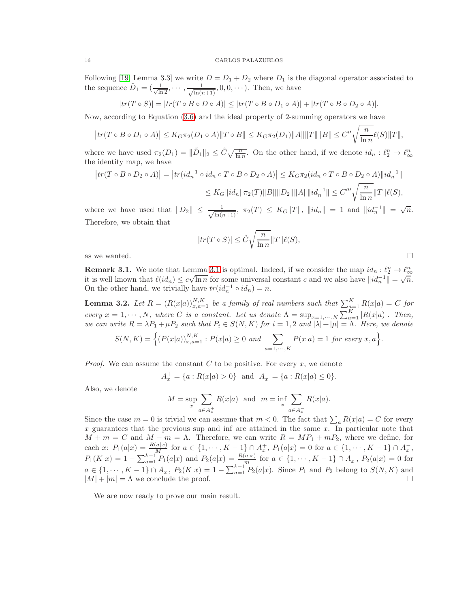Following [\[19,](#page-20-21) Lemma 3.3] we write  $D = D_1 + D_2$  where  $D_1$  is the diagonal operator associated to the sequence  $\tilde{D}_1 = (\frac{1}{\sqrt{\ln 2}}, \cdots, \frac{1}{\sqrt{\ln(n)}})$  $\frac{1}{\ln(n+1)}, 0, 0, \cdots$ ). Then, we have

$$
|tr(T \circ S)| = |tr(T \circ B \circ D \circ A)| \leq |tr(T \circ B \circ D_1 \circ A)| + |tr(T \circ B \circ D_2 \circ A)|.
$$

Now, according to Equation [\(3.6\)](#page-14-3) and the ideal property of 2-summing operators we have

$$
\big| tr(T \circ B \circ D_1 \circ A) \big| \leq K_G \pi_2(D_1 \circ A) \| T \circ B \| \leq K_G \pi_2(D_1) \| A \| \| T \| \| B \| \leq C'' \sqrt{\frac{n}{\ln n}} \ell(S) \| T \|,
$$

where we have used  $\pi_2(D_1) = \|\tilde{D}_1\|_2 \le \tilde{C}\sqrt{\frac{n}{\ln n}}$ . On the other hand, if we denote  $id_n: \ell_2^n \to \ell_\infty^n$ ∞ the identity map, we have

$$
|tr(T \circ B \circ D_2 \circ A)| = |tr(id_n^{-1} \circ id_n \circ T \circ B \circ D_2 \circ A)| \leq K_G \pi_2 (id_n \circ T \circ B \circ D_2 \circ A) ||id_n^{-1}||
$$
  

$$
\leq K_G ||id_n || \pi_2(T) ||B|| ||D_2|| ||A|| ||id_n^{-1}|| \leq C''' \sqrt{\frac{n}{\ln n}} ||T|| \ell(S),
$$

where we have used that  $||D_2|| \leq \frac{1}{\sqrt{\ln(n)}}$  $\frac{1}{\ln(n+1)}$ ,  $\pi_2(T) \leq K_G ||T||$ ,  $||id_n|| = 1$  and  $||id_n^{-1}|| = \sqrt{n}$ . Therefore, we obtain that

$$
|tr(T \circ S)| \leq \tilde{C} \sqrt{\frac{n}{\ln n}} ||T|| \ell(S),
$$

as we wanted.  $\square$ 

<span id="page-15-1"></span>**Remark [3.1](#page-14-0).** We note that Lemma 3.1 is optimal. Indeed, if we consider the map  $id_n: \ell_2^n \to \ell_{\infty}^n$ it is well known that  $\ell(id_n) \leq c\sqrt{\ln n}$  for some universal constant c and we also have  $||id_n^{-1}|| = \sqrt{n}$ . On the other hand, we trivially have  $tr(id_n^{-1} \circ id_n) = n$ .

<span id="page-15-0"></span>**Lemma 3.2.** Let  $R = (R(x|a))_{x,a=1}^{N,K}$  be a family of real numbers such that  $\sum_{a=1}^{K} R(x|a) = C$  for *every*  $x = 1, \dots, N$ , where *C is a constant. Let us denote*  $\Lambda = \sup_{x=1, \dots, N} \sum_{a=1}^{K} |R(x|a)|$ *. Then, we can write*  $R = \lambda P_1 + \mu P_2$  *such that*  $P_i \in S(N, K)$  *for*  $i = 1, 2$  *and*  $|\lambda| + |\mu| = \Lambda$ *. Here, we denote* 

$$
S(N, K) = \Big\{ (P(x|a))_{x,a=1}^{N,K}: P(x|a) \ge 0 \text{ and } \sum_{a=1,\cdots,K} P(x|a) = 1 \text{ for every } x, a \Big\}.
$$

*Proof.* We can assume the constant  $C$  to be positive. For every  $x$ , we denote

$$
A_x^+ = \{a : R(x|a) > 0\}
$$
 and  $A_x^- = \{a : R(x|a) \le 0\}.$ 

Also, we denote

$$
M = \sup_{x} \sum_{a \in A_x^+} R(x|a) \text{ and } m = \inf_{x} \sum_{a \in A_x^-} R(x|a).
$$

Since the case  $m = 0$  is trivial we can assume that  $m < 0$ . The fact that  $\sum_a R(x|a) = C$  for every  $x$  guarantees that the previous sup and inf are attained in the same  $x$ . In particular note that  $M + m = C$  and  $M - m = \Lambda$ . Therefore, we can write  $R = MP_1 + mP_2$ , where we define, for each x:  $P_1(a|x) = \frac{R(a|x)}{M}$  for  $a \in \{1, \dots, K-1\} \cap A_x^+$ ,  $P_1(a|x) = 0$  for  $a \in \{1, \dots, K-1\} \cap A_x^-$ ,  $P_1(K|x) = 1 - \sum_{a=1}^{k-1} P_1(a|x)$  and  $P_2(a|x) = \frac{R(a|x)}{m}$  for  $a \in \{1, \dots, K-1\} \cap A_x$ ,  $P_2(a|x) = 0$  for  $a \in \{1, \dots, K-1\} \cap A_x^+, P_2(K|x) = 1 - \sum_{a=1}^{k-1} P_2(a|x).$  Since  $P_1$  and  $P_2$  belong to  $S(N, K)$  and  $|M| + |m| = \Lambda$  we conclude the proof.

We are now ready to prove our main result.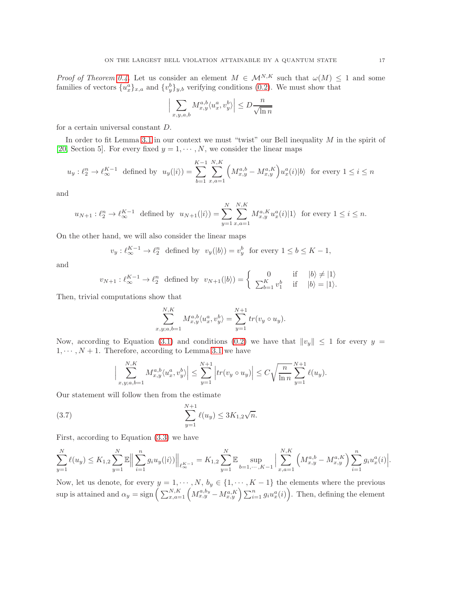*Proof of Theorem [0.4.](#page-4-1)* Let us consider an element  $M \in \mathcal{M}^{N,K}$  such that  $\omega(M) \leq 1$  and some families of vectors  $\{u_x^a\}_{x,a}$  and  $\{v_y^b\}_{y,b}$  verifying conditions [\(0.2\)](#page-3-3). We must show that

$$
\Big|\sum_{x,y,a,b}M^{a,b}_{x,y}\langle u^a_x,v^b_y\rangle\Big|\leq D\frac{n}{\sqrt{\ln n}}
$$

for a certain universal constant D.

In order to fit Lemma [3.1](#page-14-0) in our context we must "twist" our Bell inequality M in the spirit of [\[20,](#page-20-0) Section 5]. For every fixed  $y = 1, \dots, N$ , we consider the linear maps

$$
u_y: \ell_2^n \to \ell_{\infty}^{K-1} \text{ defined by } u_y(|i\rangle) = \sum_{b=1}^{K-1} \sum_{x,a=1}^{N,K} \left( M_{x,y}^{a,b} - M_{x,y}^{a,K} \right) u_x^a(i)|b\rangle \text{ for every } 1 \le i \le n
$$

and

$$
u_{N+1}: \ell_2^n \to \ell_{\infty}^{K-1}
$$
 defined by  $u_{N+1}(|i\rangle) = \sum_{y=1}^N \sum_{x,a=1}^{N,K} M_{x,y}^{a,K} u_x^a(i)|1\rangle$  for every  $1 \le i \le n$ .

On the other hand, we will also consider the linear maps

$$
v_y: \ell_\infty^{K-1} \to \ell_2^n
$$
 defined by  $v_y(|b\rangle) = v_y^b$  for every  $1 \le b \le K - 1$ ,

and

$$
v_{N+1}: \ell_{\infty}^{K-1} \to \ell_2^n \text{ defined by } v_{N+1}(|b\rangle) = \begin{cases} 0 & \text{if } |b\rangle \neq |1\rangle \\ \sum_{b=1}^K v_1^b & \text{if } |b\rangle = |1\rangle. \end{cases}
$$

Then, trivial computations show that

$$
\sum_{x,y;a,b=1}^{N,K} M_{x,y}^{a,b} \langle u_x^a, v_y^b \rangle = \sum_{y=1}^{N+1} tr(v_y \circ u_y).
$$

Now, according to Equation [\(3.1\)](#page-13-3) and conditions [\(0.2\)](#page-3-3) we have that  $||v_y|| \le 1$  for every  $y =$  $1, \dots, N+1$ . Therefore, according to Lemma [3.1](#page-14-0) we have

$$
\Big|\sum_{x,y;a,b=1}^{N,K} M_{x,y}^{a,b} \langle u_x^a, v_y^b \rangle \Big| \le \sum_{y=1}^{N+1} \Big| tr(v_y \circ u_y) \Big| \le C \sqrt{\frac{n}{\ln n}} \sum_{y=1}^{N+1} \ell(u_y).
$$

Our statement will follow then from the estimate

<span id="page-16-0"></span>(3.7) 
$$
\sum_{y=1}^{N+1} \ell(u_y) \le 3K_{1,2}\sqrt{n}.
$$

First, according to Equation [\(3.3\)](#page-13-4) we have

$$
\sum_{y=1}^{N} \ell(u_y) \le K_{1,2} \sum_{y=1}^{N} \mathbb{E} \Big\| \sum_{i=1}^{n} g_i u_y(|i\rangle) \Big\|_{\ell_{\infty}^{K-1}} = K_{1,2} \sum_{y=1}^{N} \mathbb{E} \sup_{b=1,\cdots,K-1} \Big| \sum_{x,a=1}^{N,K} \left( M_{x,y}^{a,b} - M_{x,y}^{a,K} \right) \sum_{i=1}^{n} g_i u_x^a(i) \Big|.
$$

Now, let us denote, for every  $y = 1, \dots, N$ ,  $b_y \in \{1, \dots, K-1\}$  the elements where the previous sup is attained and  $\alpha_y = \text{sign}\left(\sum_{x,a=1}^{N,K} \left(M_{x,y}^{a,b_y} - M_{x,y}^{a,K}\right) \sum_{i=1}^{n} g_i u_x^a(i)\right)$ . Then, defining the element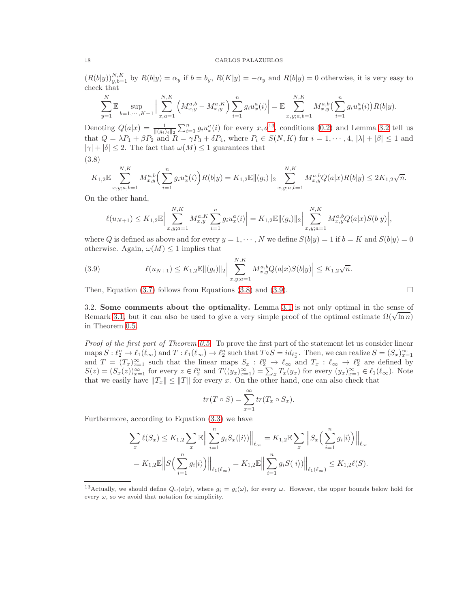$(R(b|y))_{y,b=1}^{N,K}$  by  $R(b|y) = \alpha_y$  if  $b = b_y$ ,  $R(K|y) = -\alpha_y$  and  $R(b|y) = 0$  otherwise, it is very easy to check that

$$
\sum_{y=1}^{N} \mathbb{E} \sup_{b=1,\dots,K-1} \Big| \sum_{x,a=1}^{N,K} \left( M_{x,y}^{a,b} - M_{x,y}^{a,K} \right) \sum_{i=1}^{n} g_i u_x^a(i) \Big| = \mathbb{E} \sum_{x,y;a,b=1}^{N,K} M_{x,y}^{a,b} \left( \sum_{i=1}^{n} g_i u_x^a(i) \right) R(b|y).
$$

Denoting  $Q(a|x) = \frac{1}{\|(g_i)_i\|_2} \sum_{i=1}^n g_i u_x^a(i)$  for every  $x, a^{13}$  $x, a^{13}$  $x, a^{13}$ , conditions [\(0.2\)](#page-3-3) and Lemma [3.2](#page-15-0) tell us that  $Q = \lambda P_1 + \beta P_2$  and  $R = \gamma P_3 + \delta P_4$ , where  $P_i \in S(N, K)$  for  $i = 1, \dots, 4, |\lambda| + |\beta| \leq 1$  and  $|\gamma| + |\delta| \leq 2$ . The fact that  $\omega(M) \leq 1$  guarantees that

<span id="page-17-2"></span>(3.8)

$$
K_{1,2}\mathbb{E}\sum_{x,y;a,b=1}^{N,K}M_{x,y}^{a,b}\Big(\sum_{i=1}^ng_iu_x^a(i)\Big)R(b|y)=K_{1,2}\mathbb{E}\|(g_i)\|_2\sum_{x,y;a,b=1}^{N,K}M_{x,y}^{a,b}Q(a|x)R(b|y)\leq 2K_{1,2}\sqrt{n}.
$$

On the other hand,

$$
\ell(u_{N+1}) \leq K_{1,2} \mathbb{E} \Big| \sum_{x,y;a=1}^{N,K} M_{x,y}^{a,K} \sum_{i=1}^n g_i u_x^a(i) \Big| = K_{1,2} \mathbb{E} \|(g_i)\|_2 \Big| \sum_{x,y;a=1}^{N,K} M_{x,y}^{a,b} Q(a|x) S(b|y) \Big|,
$$

where Q is defined as above and for every  $y = 1, \dots, N$  we define  $S(b|y) = 1$  if  $b = K$  and  $S(b|y) = 0$ otherwise. Again,  $\omega(M) \leq 1$  implies that

<span id="page-17-3"></span>(3.9) 
$$
\ell(u_{N+1}) \leq K_{1,2} \mathbb{E} \|(g_i)\|_2 \Big| \sum_{x,y;a=1}^{N,K} M_{x,y}^{a,b} Q(a|x) S(b|y) \Big| \leq K_{1,2} \sqrt{n}.
$$

<span id="page-17-0"></span>Then, Equation [\(3.7\)](#page-16-0) follows from Equations [\(3.8\)](#page-17-2) and [\(3.9\)](#page-17-3).  $\Box$ 

3.2. Some comments about the optimality. Lemma 3.1 is not only optimal in the sense of Remark 3.1, but it can also be used to give a very simple proof of the optimal estimate 
$$
\Omega(\sqrt{\ln n})
$$
 in Theorem 0.5.

*Proof of the first part of Theorem [0.5.](#page-4-2)* To prove the first part of the statement let us consider linear maps  $S: \ell_2^n \to \ell_1(\ell_\infty)$  and  $T: \ell_1(\ell_\infty) \to \ell_2^n$  such that  $T \circ S = id_{\ell_2^n}$ . Then, we can realize  $S = (S_x)_{x=1}^\infty$ and  $T = (T_x)_{x=1}^{\infty}$  such that the linear maps  $S_x : \ell_2^n \to \ell_\infty$  and  $T_x : \ell_\infty \to \ell_2^n$  are defined by  $S(z) = (S_x(z))_{x=1}^{\infty}$  for every  $z \in \ell_2^n$  and  $T((y_x)_{x=1}^{\infty}) = \sum_x T_x(y_x)$  for every  $(y_x)_{x=1}^{\infty} \in \ell_1(\ell_{\infty})$ . Note that we easily have  $||T_x|| \le ||T||$  for every x. On the other hand, one can also check that

$$
tr(T \circ S) = \sum_{x=1}^{\infty} tr(T_x \circ S_x).
$$

Furthermore, according to Equation [\(3.3\)](#page-13-4) we have

$$
\sum_{x} \ell(S_x) \leq K_{1,2} \sum_{x} \mathbb{E} \Big\| \sum_{i=1}^n g_i S_x(|i\rangle) \Big\|_{\ell_\infty} = K_{1,2} \mathbb{E} \sum_{x} \Big\| S_x \Big( \sum_{i=1}^n g_i |i\rangle \Big) \Big\|_{\ell_\infty}
$$
  
=  $K_{1,2} \mathbb{E} \Big\| S \Big( \sum_{i=1}^n g_i |i\rangle \Big) \Big\|_{\ell_1(\ell_\infty)} = K_{1,2} \mathbb{E} \Big\| \sum_{i=1}^n g_i S(|i\rangle) \Big\|_{\ell_1(\ell_\infty)} \leq K_{1,2} \ell(S).$ 

<span id="page-17-1"></span><sup>&</sup>lt;sup>13</sup>Actually, we should define  $Q_{\omega}(a|x)$ , where  $g_i = g_i(\omega)$ , for every  $\omega$ . However, the upper bounds below hold for every  $\omega$ , so we avoid that notation for simplicity.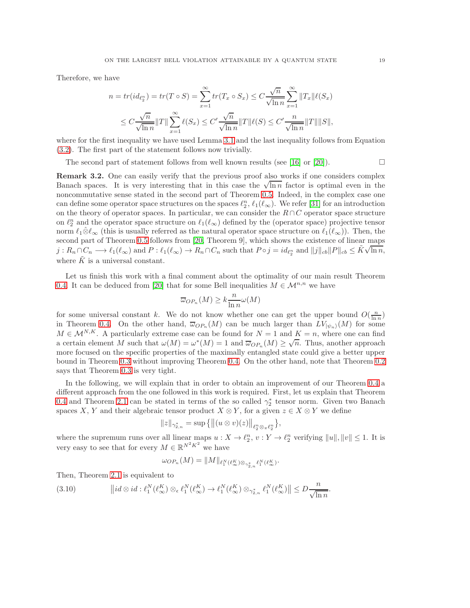Therefore, we have

$$
n = tr(id_{\ell_2^n}) = tr(T \circ S) = \sum_{x=1}^{\infty} tr(T_x \circ S_x) \le C \frac{\sqrt{n}}{\sqrt{\ln n}} \sum_{x=1}^{\infty} ||T_x|| \ell(S_x)
$$
  

$$
\le C \frac{\sqrt{n}}{\sqrt{\ln n}} ||T|| \sum_{x=1}^{\infty} \ell(S_x) \le C' \frac{\sqrt{n}}{\sqrt{\ln n}} ||T|| \ell(S) \le C' \frac{n}{\sqrt{\ln n}} ||T|| ||S||,
$$

where for the first inequality we have used Lemma [3.1](#page-14-0) and the last inequality follows from Equation [\(3.2\)](#page-13-5). The first part of the statement follows now trivially.

The second part of statement follows from well known results (see [\[16\]](#page-20-23) or [\[20\]](#page-20-0)).  $\Box$ 

**Remark 3.2.** One can easily verify that the previous proof also works if one considers complex Banach spaces. It is very interesting that in this case the  $\sqrt{\ln n}$  factor is optimal even in the noncommutative sense stated in the second part of Theorem [0.5.](#page-4-2) Indeed, in the complex case one can define some operator space structures on the spaces  $\ell_2^n$ ,  $\ell_1(\ell_\infty)$ . We refer [\[31\]](#page-20-24) for an introduction on the theory of operator spaces. In particular, we can consider the  $R \cap C$  operator space structure on  $\ell_2^n$  and the operator space structure on  $\ell_1(\ell_\infty)$  defined by the (operator space) projective tensor norm  $\ell_1\hat{\otimes}\ell_\infty$  (this is usually referred as the natural operator space structure on  $\ell_1(\ell_\infty)$ ). Then, the second part of Theorem [0.5](#page-4-2) follows from [\[20,](#page-20-0) Theorem 9], which shows the existence of linear maps  $j: R_n \cap C_n \longrightarrow \ell_1(\ell_\infty)$  and  $P: \ell_1(\ell_\infty) \to R_n \cap C_n$  such that  $P \circ j = id_{\ell_2^n}$  and  $||j||_{cb}||P||_{cb} \leq K\sqrt{\ln n}$ , where  $\tilde{K}$  is a universal constant.

Let us finish this work with a final comment about the optimality of our main result Theorem [0.4.](#page-4-1) It can be deduced from [\[20\]](#page-20-0) that for some Bell inequalities  $M \in \mathcal{M}^{n,n}$  we have

$$
\overline{\omega}_{OP_n}(M) \ge k \frac{n}{\ln n} \omega(M)
$$

for some universal constant k. We do not know whether one can get the upper bound  $O(\frac{n}{\ln n})$ in Theorem [0.4.](#page-4-1) On the other hand,  $\overline{\omega}_{OP_n}(M)$  can be much larger than  $LV_{|\psi_n\rangle}(M)$  for some  $M \in \mathcal{M}^{N,K}$ . A particularly extreme case can be found for  $N=1$  and  $K=n$ , where one can find a certain element M such that  $\omega(M) = \omega^*(M) = 1$  and  $\overline{\omega}_{OP_n}(M) \geq \sqrt{n}$ . Thus, another approach more focused on the specific properties of the maximally entangled state could give a better upper bound in Theorem [0.3](#page-3-2) without improving Theorem [0.4.](#page-4-1) On the other hand, note that Theorem [0.2](#page-2-4) says that Theorem [0.3](#page-3-2) is very tight.

In the following, we will explain that in order to obtain an improvement of our Theorem [0.4](#page-4-1) a different approach from the one followed in this work is required. First, let us explain that Theorem [0.4](#page-4-1) and Theorem [2.1](#page-11-0) can be stated in terms of the so called  $\gamma_2^*$  tensor norm. Given two Banach spaces X, Y and their algebraic tensor product  $X \otimes Y$ , for a given  $z \in X \otimes Y$  we define

$$
||z||_{\gamma_{2,n}^*} = \sup \{ ||(u \otimes v)(z)||_{\ell_2^n \otimes \pi \ell_2^n} \},
$$

where the supremum runs over all linear maps  $u: X \to \ell_2^n$ ,  $v: Y \to \ell_2^n$  verifying  $||u||, ||v|| \leq 1$ . It is very easy to see that for every  $M \in \mathbb{R}^{N^2 K^2}$  we have

$$
\omega_{OP_n}(M)=\|M\|_{\ell_1^N(\ell_\infty^K)\otimes_{\gamma_{2,n}^*}\ell_1^N(\ell_\infty^K)}.
$$

Then, Theorem [2.1](#page-11-0) is equivalent to

<span id="page-18-0"></span>(3.10) 
$$
\|id \otimes id : \ell_1^N(\ell_\infty^K) \otimes_{\epsilon} \ell_1^N(\ell_\infty^K) \to \ell_1^N(\ell_\infty^K) \otimes_{\gamma_{2,n}^*} \ell_1^N(\ell_\infty^K) \| \leq D \frac{n}{\sqrt{\ln n}}.
$$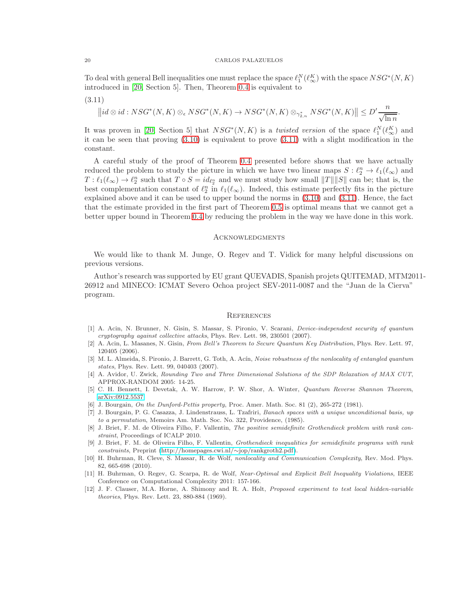To deal with general Bell inequalities one must replace the space  $\ell_1^N(\ell_\infty^K)$  with the space  $NSG^*(N, K)$ introduced in [\[20,](#page-20-0) Section 5]. Then, Theorem [0.4](#page-4-1) is equivalent to

<span id="page-19-12"></span>
$$
(3.11)
$$

$$
\left\| id \otimes id : NSG^*(N,K) \otimes_{\epsilon} NSG^*(N,K) \to NSG^*(N,K) \otimes_{\gamma^*_{2,n}} NSG^*(N,K) \right\| \leq D' \frac{n}{\sqrt{\ln n}}.
$$

It was proven in [\[20,](#page-20-0) Section 5] that  $NSG^*(N, K)$  is a *twisted version* of the space  $\ell_1^N(\ell_\infty^K)$  and it can be seen that proving [\(3.10\)](#page-18-0) is equivalent to prove [\(3.11\)](#page-19-12) with a slight modification in the constant.

A careful study of the proof of Theorem [0.4](#page-4-1) presented before shows that we have actually reduced the problem to study the picture in which we have two linear maps  $S : \ell_2^n \to \ell_1(\ell_\infty)$  and  $T: \ell_1(\ell_\infty) \to \ell_2^n$  such that  $T \circ S = id_{\ell_2^n}$  and we must study how small  $||T|| ||S||$  can be; that is, the best complementation constant of  $\ell_2^n$  in  $\ell_1(\ell_\infty)$ . Indeed, this estimate perfectly fits in the picture explained above and it can be used to upper bound the norms in [\(3.10\)](#page-18-0) and [\(3.11\)](#page-19-12). Hence, the fact that the estimate provided in the first part of Theorem [0.5](#page-4-2) is optimal means that we cannot get a better upper bound in Theorem [0.4](#page-4-1) by reducing the problem in the way we have done in this work.

## **ACKNOWLEDGMENTS**

We would like to thank M. Junge, O. Regev and T. Vidick for many helpful discussions on previous versions.

Author's research was supported by EU grant QUEVADIS, Spanish projets QUITEMAD, MTM2011- 26912 and MINECO: ICMAT Severo Ochoa project SEV-2011-0087 and the "Juan de la Cierva" program.

#### **REFERENCES**

- <span id="page-19-0"></span>[1] A. Acin, N. Brunner, N. Gisin, S. Massar, S. Pironio, V. Scarani, *Device-independent security of quantum cryptography against collective attacks*, Phys. Rev. Lett. 98, 230501 (2007).
- <span id="page-19-1"></span>[2] A. Acin, L. Masanes, N. Gisin, *From Bell's Theorem to Secure Quantum Key Distribution*, Phys. Rev. Lett. 97, 120405 (2006).
- <span id="page-19-11"></span>[3] M. L. Almeida, S. Pironio, J. Barrett, G. Toth, A. Acín, *Noise robustness of the nonlocality of entangled quantum states*, Phys. Rev. Lett. 99, 040403 (2007).
- <span id="page-19-6"></span>[4] A. Avidor, U. Zwick, *Rounding Two and Three Dimensional Solutions of the SDP Relaxation of MAX CUT*, APPROX-RANDOM 2005: 14-25.
- <span id="page-19-5"></span>[5] C. H. Bennett, I. Devetak, A. W. Harrow, P. W. Shor, A. Winter, *Quantum Reverse Shannon Theorem*, [arXiv:0912.5537.](http://arxiv.org/abs/0912.5537)
- <span id="page-19-10"></span><span id="page-19-9"></span>[6] J. Bourgain, *On the Dunford-Pettis property*, Proc. Amer. Math. Soc. 81 (2), 265-272 (1981).
- [7] J. Bourgain, P. G. Casazza, J. Lindenstrauss, L. Tzafriri, *Banach spaces with a unique unconditional basis, up to a permutation*, Memoirs Am. Math. Soc. No. 322, Providence, (1985).
- <span id="page-19-7"></span>[8] J. Briet, F. M. de Oliveira Filho, F. Vallentin, *The positive semidefinite Grothendieck problem with rank constraint*, Proceedings of ICALP 2010.
- <span id="page-19-8"></span>[9] J. Briet, F. M. de Oliveira Filho, F. Vallentin, *Grothendieck inequalities for semidefinite programs with rank constraints*, Preprint [\(http://homepages.cwi.nl/](http://homepages.cwi.nl/~jop/rankgroth2.pdf)∼jop/rankgroth2.pdf).
- <span id="page-19-2"></span>[10] H. Buhrman, R. Cleve, S. Massar, R. de Wolf, *nonlocality and Communication Complexity*, Rev. Mod. Phys. 82, 665-698 (2010).
- <span id="page-19-3"></span>[11] H. Buhrman, O. Regev, G. Scarpa, R. de Wolf, *Near-Optimal and Explicit Bell Inequality Violations*, IEEE Conference on Computational Complexity 2011: 157-166.
- <span id="page-19-4"></span>[12] J. F. Clauser, M.A. Horne, A. Shimony and R. A. Holt, *Proposed experiment to test local hidden-variable theories*, Phys. Rev. Lett. 23, 880-884 (1969).